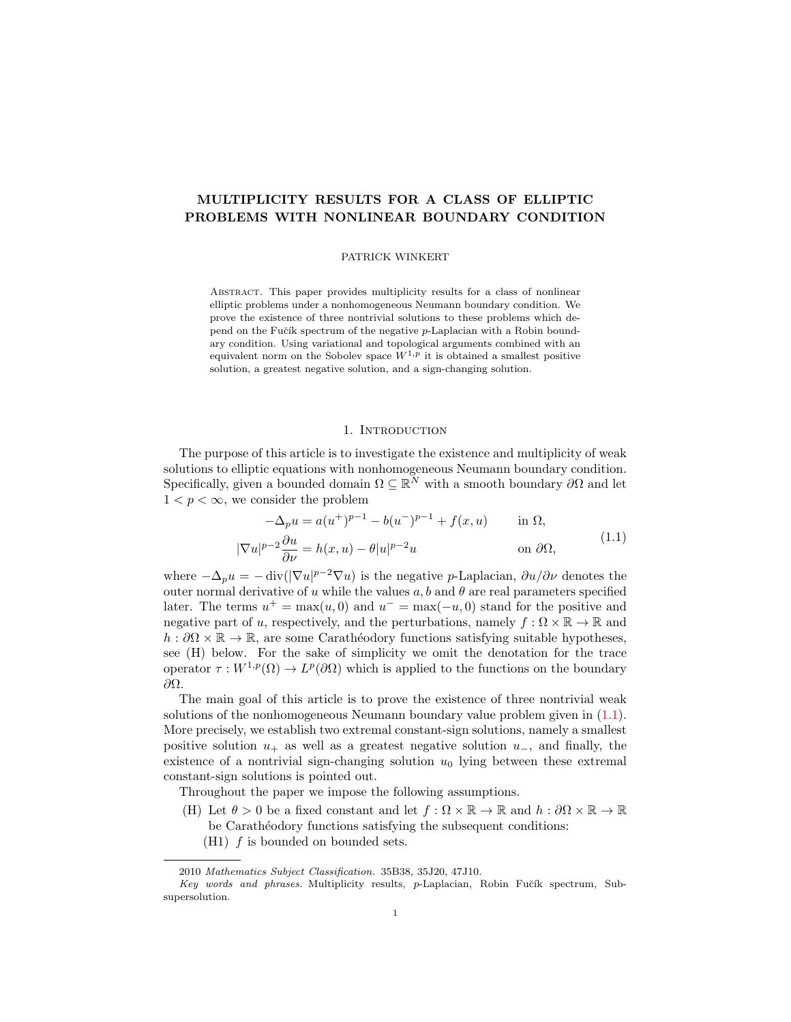# MULTIPLICITY RESULTS FOR A CLASS OF ELLIPTIC PROBLEMS WITH NONLINEAR BOUNDARY CONDITION

### PATRICK WINKERT

Abstract. This paper provides multiplicity results for a class of nonlinear elliptic problems under a nonhomogeneous Neumann boundary condition. We prove the existence of three nontrivial solutions to these problems which depend on the Fučík spectrum of the negative  $p$ -Laplacian with a Robin boundary condition. Using variational and topological arguments combined with an equivalent norm on the Sobolev space  $W^{1,p}$  it is obtained a smallest positive solution, a greatest negative solution, and a sign-changing solution.

# <span id="page-0-0"></span>1. INTRODUCTION

The purpose of this article is to investigate the existence and multiplicity of weak solutions to elliptic equations with nonhomogeneous Neumann boundary condition. Specifically, given a bounded domain  $\Omega \subseteq \mathbb{R}^N$  with a smooth boundary  $\partial\Omega$  and let  $1 < p < \infty$ , we consider the problem

$$
-\Delta_p u = a(u^+)^{p-1} - b(u^-)^{p-1} + f(x, u) \quad \text{in } \Omega,
$$
  

$$
|\nabla u|^{p-2} \frac{\partial u}{\partial \nu} = h(x, u) - \theta |u|^{p-2} u \quad \text{on } \partial \Omega,
$$
 (1.1)

where  $-\Delta_p u = -\text{div}(|\nabla u|^{p-2}\nabla u)$  is the negative p-Laplacian,  $\partial u/\partial \nu$  denotes the outer normal derivative of u while the values a, b and  $\theta$  are real parameters specified later. The terms  $u^+ = \max(u, 0)$  and  $u^- = \max(-u, 0)$  stand for the positive and negative part of u, respectively, and the perturbations, namely  $f : \Omega \times \mathbb{R} \to \mathbb{R}$  and  $h : \partial\Omega \times \mathbb{R} \to \mathbb{R}$ , are some Carathéodory functions satisfying suitable hypotheses, see (H) below. For the sake of simplicity we omit the denotation for the trace operator  $\tau: W^{1,p}(\Omega) \to L^p(\partial\Omega)$  which is applied to the functions on the boundary ∂Ω.

The main goal of this article is to prove the existence of three nontrivial weak solutions of the nonhomogeneous Neumann boundary value problem given in [\(1.1\)](#page-0-0). More precisely, we establish two extremal constant-sign solutions, namely a smallest positive solution  $u_+$  as well as a greatest negative solution  $u_-$ , and finally, the existence of a nontrivial sign-changing solution  $u_0$  lying between these extremal constant-sign solutions is pointed out.

Throughout the paper we impose the following assumptions.

- (H) Let  $\theta > 0$  be a fixed constant and let  $f : \Omega \times \mathbb{R} \to \mathbb{R}$  and  $h : \partial \Omega \times \mathbb{R} \to \mathbb{R}$ be Carathéodory functions satisfying the subsequent conditions:
	- $(H1)$  f is bounded on bounded sets.

<sup>2010</sup> Mathematics Subject Classification. 35B38, 35J20, 47J10.

 $Key$  words and phrases. Multiplicity results, p-Laplacian, Robin Fučík spectrum, Subsupersolution.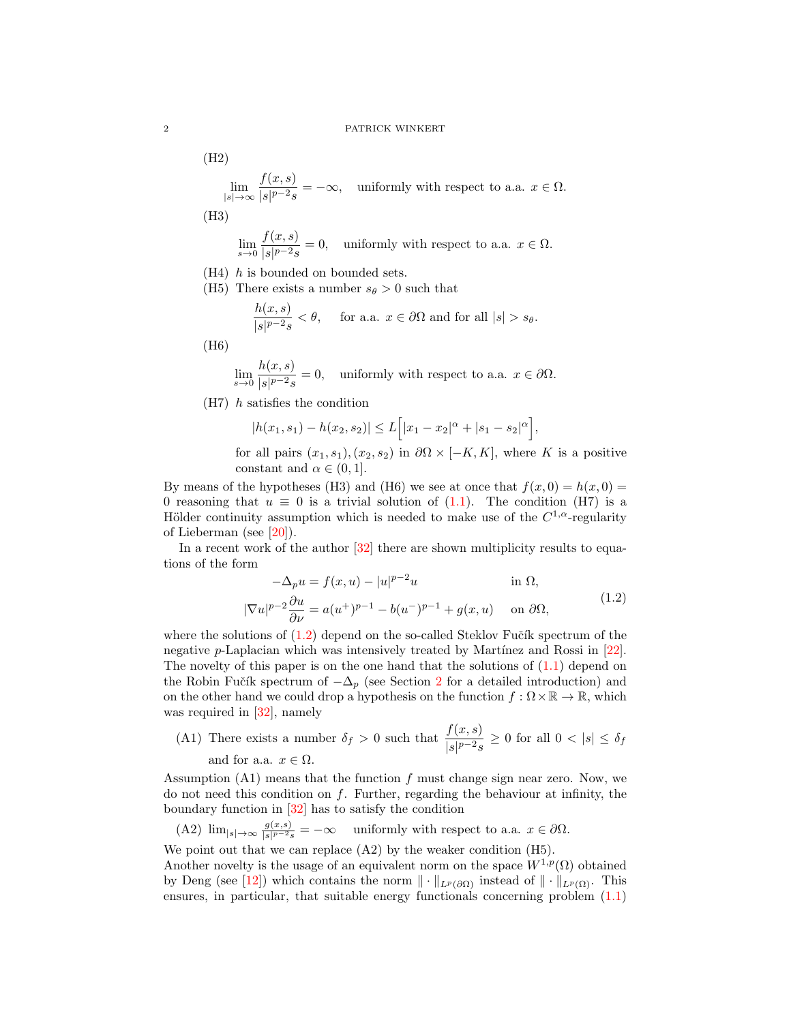(H2) lim |s|→∞  $f(x, s)$  $\frac{\partial f(x, \theta)}{\partial |s|^{p-2}s} = -\infty$ , uniformly with respect to a.a.  $x \in \Omega$ . (H3)

$$
\lim_{s \to 0} \frac{f(x, s)}{|s|^{p-2}s} = 0, \quad \text{uniformly with respect to a.a. } x \in \Omega.
$$

- (H4) h is bounded on bounded sets.
- (H5) There exists a number  $s_{\theta} > 0$  such that

$$
\frac{h(x,s)}{|s|^{p-2}s} < \theta, \quad \text{ for a.a. } x \in \partial\Omega \text{ and for all } |s| > s_{\theta}.
$$

(H6)

$$
\lim_{s \to 0} \frac{h(x, s)}{|s|^{p-2}s} = 0, \quad \text{uniformly with respect to a.a. } x \in \partial \Omega.
$$

(H7) h satisfies the condition

$$
|h(x_1, s_1) - h(x_2, s_2)| \le L\Big[|x_1 - x_2|^{\alpha} + |s_1 - s_2|^{\alpha}\Big],
$$

for all pairs  $(x_1, s_1), (x_2, s_2)$  in  $\partial\Omega \times [-K, K]$ , where K is a positive constant and  $\alpha \in (0, 1]$ .

By means of the hypotheses (H3) and (H6) we see at once that  $f(x, 0) = h(x, 0) =$ 0 reasoning that  $u \equiv 0$  is a trivial solution of  $(1.1)$ . The condition  $(H7)$  is a Hölder continuity assumption which is needed to make use of the  $C^{1,\alpha}$ -regularity of Lieberman (see [\[20\]](#page-17-0)).

In a recent work of the author  $[32]$  there are shown multiplicity results to equations of the form

<span id="page-1-0"></span>
$$
-\Delta_p u = f(x, u) - |u|^{p-2}u \qquad \text{in } \Omega,
$$
  

$$
|\nabla u|^{p-2} \frac{\partial u}{\partial \nu} = a(u^+)^{p-1} - b(u^-)^{p-1} + g(x, u) \qquad \text{on } \partial\Omega,
$$
 (1.2)

where the solutions of  $(1.2)$  depend on the so-called Steklov Fučík spectrum of the negative p-Laplacian which was intensively treated by Martínez and Rossi in  $[22]$ . The novelty of this paper is on the one hand that the solutions of  $(1.1)$  depend on the Robin Fučík spectrum of  $-\Delta_p$  (see Section [2](#page-2-0) for a detailed introduction) and on the other hand we could drop a hypothesis on the function  $f : \Omega \times \mathbb{R} \to \mathbb{R}$ , which was required in [\[32\]](#page-18-0), namely

(A1) There exists a number 
$$
\delta_f > 0
$$
 such that  $\frac{f(x,s)}{|s|^{p-2}s} \geq 0$  for all  $0 < |s| \leq \delta_f$  and for a.a.  $x \in \Omega$ .

Assumption  $(A1)$  means that the function f must change sign near zero. Now, we do not need this condition on  $f$ . Further, regarding the behaviour at infinity, the boundary function in [\[32\]](#page-18-0) has to satisfy the condition

(A2) 
$$
\lim_{|s| \to \infty} \frac{g(x,s)}{|s|^{p-2}s} = -\infty
$$
 uniformly with respect to a.a.  $x \in \partial\Omega$ .

We point out that we can replace  $(A2)$  by the weaker condition  $(H5)$ .

Another novelty is the usage of an equivalent norm on the space  $W^{1,p}(\Omega)$  obtained by Deng (see [\[12\]](#page-17-2)) which contains the norm  $\|\cdot\|_{L^p(\partial\Omega)}$  instead of  $\|\cdot\|_{L^p(\Omega)}$ . This ensures, in particular, that suitable energy functionals concerning problem [\(1.1\)](#page-0-0)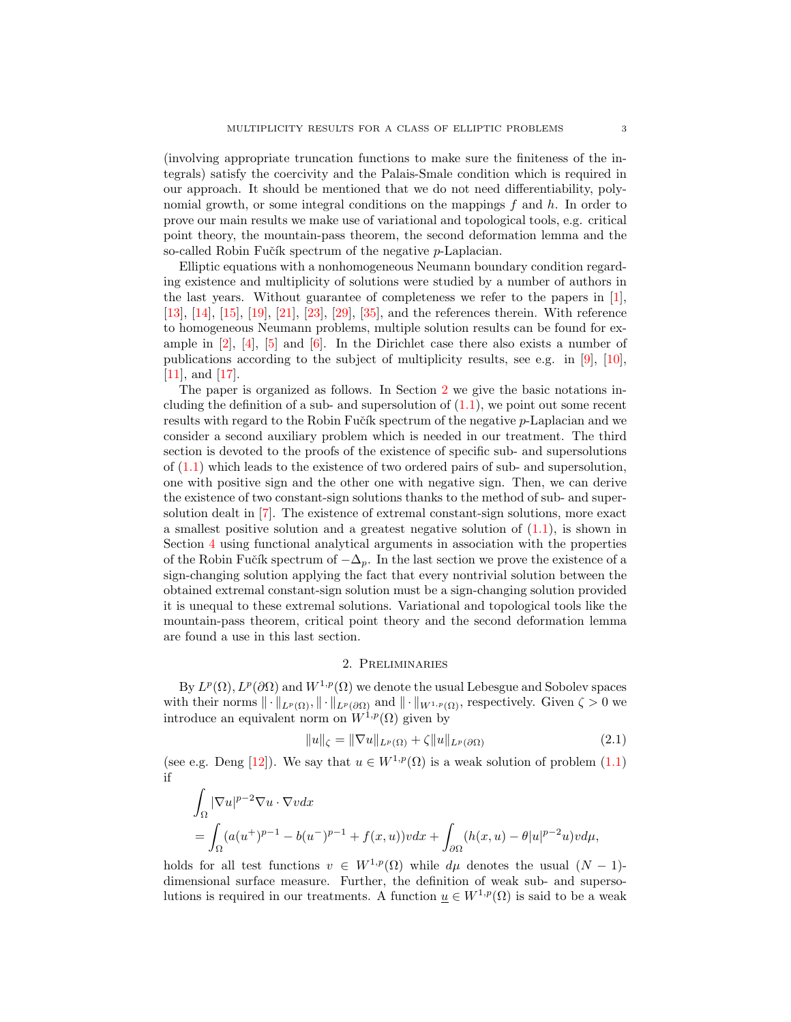(involving appropriate truncation functions to make sure the finiteness of the integrals) satisfy the coercivity and the Palais-Smale condition which is required in our approach. It should be mentioned that we do not need differentiability, polynomial growth, or some integral conditions on the mappings  $f$  and  $h$ . In order to prove our main results we make use of variational and topological tools, e.g. critical point theory, the mountain-pass theorem, the second deformation lemma and the so-called Robin Fučík spectrum of the negative  $p$ -Laplacian.

Elliptic equations with a nonhomogeneous Neumann boundary condition regarding existence and multiplicity of solutions were studied by a number of authors in the last years. Without guarantee of completeness we refer to the papers in [\[1\]](#page-16-0), [\[13\]](#page-17-3), [\[14\]](#page-17-4), [\[15\]](#page-17-5), [\[19\]](#page-17-6), [\[21\]](#page-17-7), [\[23\]](#page-17-8), [\[29\]](#page-17-9), [\[35\]](#page-18-1), and the references therein. With reference to homogeneous Neumann problems, multiple solution results can be found for example in [\[2\]](#page-16-1), [\[4\]](#page-17-10), [\[5\]](#page-17-11) and [\[6\]](#page-17-12). In the Dirichlet case there also exists a number of publications according to the subject of multiplicity results, see e.g. in [\[9\]](#page-17-13), [\[10\]](#page-17-14), [\[11\]](#page-17-15), and [\[17\]](#page-17-16).

The paper is organized as follows. In Section [2](#page-2-0) we give the basic notations including the definition of a sub- and supersolution of  $(1.1)$ , we point out some recent results with regard to the Robin Fučík spectrum of the negative p-Laplacian and we consider a second auxiliary problem which is needed in our treatment. The third section is devoted to the proofs of the existence of specific sub- and supersolutions of [\(1.1\)](#page-0-0) which leads to the existence of two ordered pairs of sub- and supersolution, one with positive sign and the other one with negative sign. Then, we can derive the existence of two constant-sign solutions thanks to the method of sub- and supersolution dealt in [\[7\]](#page-17-17). The existence of extremal constant-sign solutions, more exact a smallest positive solution and a greatest negative solution of  $(1.1)$ , is shown in Section [4](#page-8-0) using functional analytical arguments in association with the properties of the Robin Fučík spectrum of  $-\Delta_p$ . In the last section we prove the existence of a sign-changing solution applying the fact that every nontrivial solution between the obtained extremal constant-sign solution must be a sign-changing solution provided it is unequal to these extremal solutions. Variational and topological tools like the mountain-pass theorem, critical point theory and the second deformation lemma are found a use in this last section.

# <span id="page-2-1"></span>2. Preliminaries

<span id="page-2-0"></span>By  $L^p(\Omega)$ ,  $L^p(\partial\Omega)$  and  $W^{1,p}(\Omega)$  we denote the usual Lebesgue and Sobolev spaces with their norms  $\|\cdot\|_{L^p(\Omega)}, \|\cdot\|_{L^p(\partial\Omega)}$  and  $\|\cdot\|_{W^{1,p}(\Omega)}$ , respectively. Given  $\zeta > 0$  we introduce an equivalent norm on  $W^{1,p}(\Omega)$  given by

$$
||u||_{\zeta} = ||\nabla u||_{L^{p}(\Omega)} + \zeta ||u||_{L^{p}(\partial\Omega)}
$$
\n(2.1)

(see e.g. Deng [\[12\]](#page-17-2)). We say that  $u \in W^{1,p}(\Omega)$  is a weak solution of problem  $(1.1)$ if

$$
\int_{\Omega} |\nabla u|^{p-2} \nabla u \cdot \nabla v dx
$$
\n
$$
= \int_{\Omega} (a(u^+)^{p-1} - b(u^-)^{p-1} + f(x, u))v dx + \int_{\partial \Omega} (h(x, u) - \theta |u|^{p-2}u)v d\mu,
$$

holds for all test functions  $v \in W^{1,p}(\Omega)$  while  $d\mu$  denotes the usual  $(N-1)$ dimensional surface measure. Further, the definition of weak sub- and supersolutions is required in our treatments. A function  $u \in W^{1,p}(\Omega)$  is said to be a weak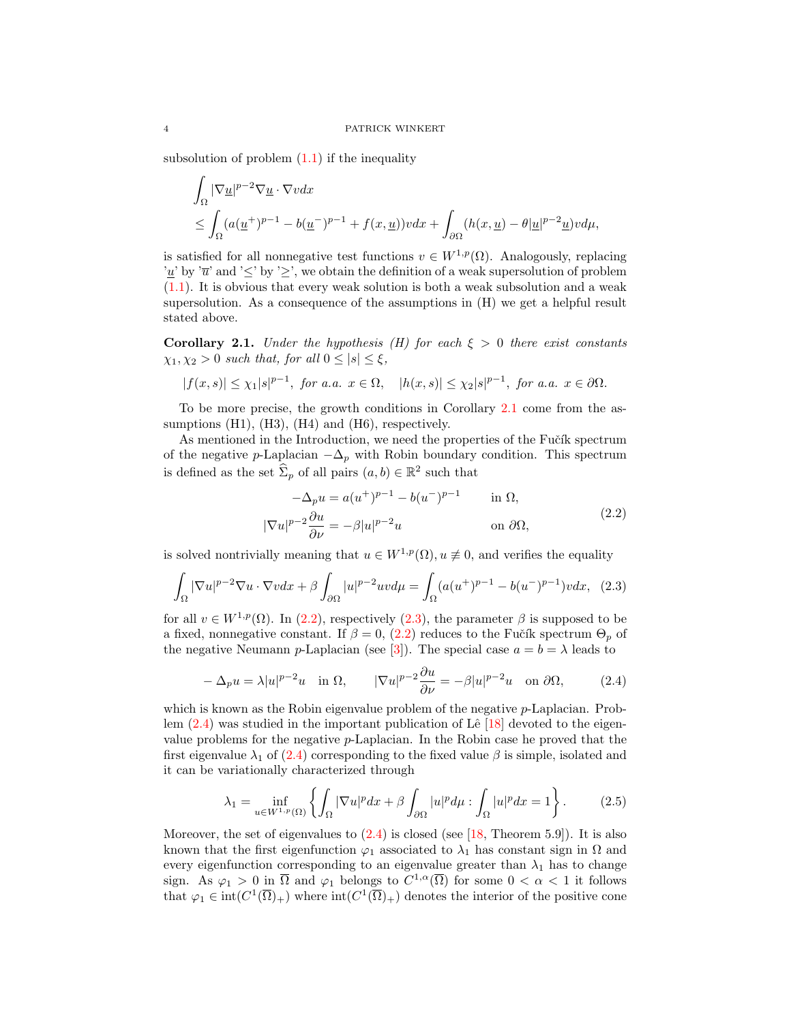subsolution of problem  $(1.1)$  if the inequality

$$
\int_{\Omega} |\nabla \underline{u}|^{p-2} \nabla \underline{u} \cdot \nabla v dx
$$
\n
$$
\leq \int_{\Omega} (a(\underline{u}^+)^{p-1} - b(\underline{u}^-)^{p-1} + f(x, \underline{u})) v dx + \int_{\partial \Omega} (h(x, \underline{u}) - \theta |\underline{u}|^{p-2} \underline{u}) v d\mu,
$$

is satisfied for all nonnegative test functions  $v \in W^{1,p}(\Omega)$ . Analogously, replacing '<u>u</u>' by ' $\overline{u}$ ' and ' $\leq$ ' by ' $\geq$ ', we obtain the definition of a weak supersolution of problem [\(1.1\)](#page-0-0). It is obvious that every weak solution is both a weak subsolution and a weak supersolution. As a consequence of the assumptions in (H) we get a helpful result stated above.

<span id="page-3-0"></span>**Corollary 2.1.** Under the hypothesis (H) for each  $\xi > 0$  there exist constants  $\chi_1, \chi_2 > 0$  such that, for all  $0 \leq |s| \leq \xi$ ,

$$
|f(x,s)|\leq \chi_1|s|^{p-1}, \text{ for a.a. } x\in \Omega, \quad |h(x,s)|\leq \chi_2|s|^{p-1}, \text{ for a.a. } x\in \partial \Omega.
$$

To be more precise, the growth conditions in Corollary [2.1](#page-3-0) come from the assumptions (H1), (H3), (H4) and (H6), respectively.

As mentioned in the Introduction, we need the properties of the Fučík spectrum of the negative p-Laplacian  $-\Delta_p$  with Robin boundary condition. This spectrum is defined as the set  $\widehat{\Sigma}_p$  of all pairs  $(a, b) \in \mathbb{R}^2$  such that

<span id="page-3-2"></span><span id="page-3-1"></span>
$$
-\Delta_p u = a(u^+)^{p-1} - b(u^-)^{p-1} \quad \text{in } \Omega,
$$
  

$$
|\nabla u|^{p-2} \frac{\partial u}{\partial \nu} = -\beta |u|^{p-2} u \quad \text{on } \partial \Omega,
$$
 (2.2)

is solved nontrivially meaning that  $u \in W^{1,p}(\Omega)$ ,  $u \not\equiv 0$ , and verifies the equality

$$
\int_{\Omega} |\nabla u|^{p-2} \nabla u \cdot \nabla v dx + \beta \int_{\partial \Omega} |u|^{p-2} uv d\mu = \int_{\Omega} (a(u^+)^{p-1} - b(u^-)^{p-1}) v dx, \tag{2.3}
$$

for all  $v \in W^{1,p}(\Omega)$ . In [\(2.2\)](#page-3-1), respectively [\(2.3\)](#page-3-2), the parameter  $\beta$  is supposed to be a fixed, nonnegative constant. If  $\beta = 0$ , [\(2.2\)](#page-3-1) reduces to the Fučík spectrum  $\Theta_p$  of the negative Neumann p-Laplacian (see [\[3\]](#page-17-18)). The special case  $a = b = \lambda$  leads to

<span id="page-3-3"></span>
$$
-\Delta_p u = \lambda |u|^{p-2}u \quad \text{in } \Omega, \qquad |\nabla u|^{p-2} \frac{\partial u}{\partial \nu} = -\beta |u|^{p-2}u \quad \text{on } \partial \Omega,\tag{2.4}
$$

which is known as the Robin eigenvalue problem of the negative *p*-Laplacian. Problem  $(2.4)$  was studied in the important publication of Lê [\[18\]](#page-17-19) devoted to the eigenvalue problems for the negative p-Laplacian. In the Robin case he proved that the first eigenvalue  $\lambda_1$  of [\(2.4\)](#page-3-3) corresponding to the fixed value  $\beta$  is simple, isolated and it can be variationally characterized through

<span id="page-3-4"></span>
$$
\lambda_1 = \inf_{u \in W^{1,p}(\Omega)} \left\{ \int_{\Omega} |\nabla u|^p dx + \beta \int_{\partial \Omega} |u|^p d\mu : \int_{\Omega} |u|^p dx = 1 \right\}.
$$
 (2.5)

Moreover, the set of eigenvalues to  $(2.4)$  is closed (see [\[18,](#page-17-19) Theorem 5.9]). It is also known that the first eigenfunction  $\varphi_1$  associated to  $\lambda_1$  has constant sign in  $\Omega$  and every eigenfunction corresponding to an eigenvalue greater than  $\lambda_1$  has to change sign. As  $\varphi_1 > 0$  in  $\overline{\Omega}$  and  $\varphi_1$  belongs to  $C^{1,\alpha}(\overline{\Omega})$  for some  $0 < \alpha < 1$  it follows that  $\varphi_1 \in \text{int}(C^1(\overline{\Omega})_+)$  where  $\text{int}(C^1(\overline{\Omega})_+)$  denotes the interior of the positive cone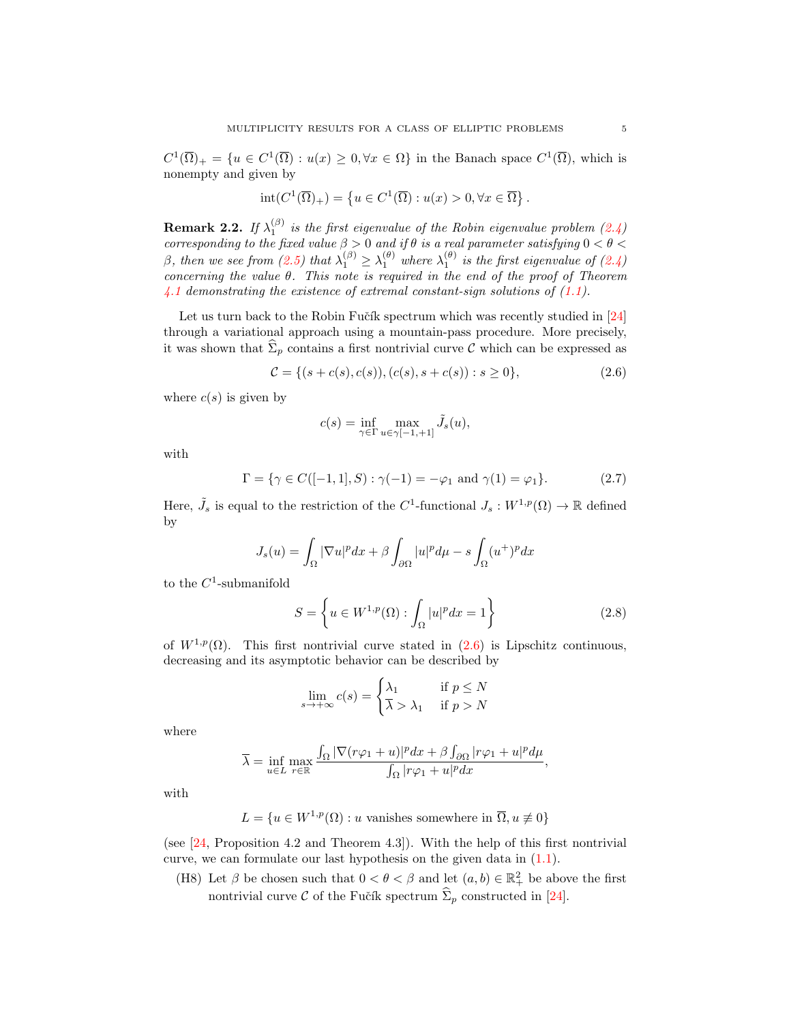$C^1(\overline{\Omega})_+ = \{u \in C^1(\overline{\Omega}) : u(x) \geq 0, \forall x \in \Omega\}$  in the Banach space  $C^1(\overline{\Omega})$ , which is nonempty and given by

$$
\operatorname{int}(C^1(\overline{\Omega})_+) = \left\{ u \in C^1(\overline{\Omega}) : u(x) > 0, \forall x \in \overline{\Omega} \right\}.
$$

<span id="page-4-1"></span>**Remark 2.2.** If  $\lambda_1^{(\beta)}$  is the first eigenvalue of the Robin eigenvalue problem [\(2.4\)](#page-3-3) corresponding to the fixed value  $\beta > 0$  and if  $\theta$  is a real parameter satisfying  $0 < \theta <$ β, then we see from [\(2.5\)](#page-3-4) that  $\lambda_1^{(\beta)} \geq \lambda_1^{(\theta)}$  where  $\lambda_1^{(\theta)}$  is the first eigenvalue of [\(2.4\)](#page-3-3) concerning the value  $\theta$ . This note is required in the end of the proof of Theorem [4.1](#page-8-1) demonstrating the existence of extremal constant-sign solutions of  $(1.1)$ .

Let us turn back to the Robin Fučík spectrum which was recently studied in [\[24\]](#page-17-20) through a variational approach using a mountain-pass procedure. More precisely, it was shown that  $\hat{\Sigma}_p$  contains a first nontrivial curve C which can be expressed as

$$
\mathcal{C} = \{ (s + c(s), c(s)), (c(s), s + c(s)) : s \ge 0 \},\tag{2.6}
$$

where  $c(s)$  is given by

<span id="page-4-3"></span><span id="page-4-0"></span>
$$
c(s) = \inf_{\gamma \in \Gamma} \max_{u \in \gamma[-1, +1]} \tilde{J}_s(u),
$$

with

$$
\Gamma = \{ \gamma \in C([-1, 1], S) : \gamma(-1) = -\varphi_1 \text{ and } \gamma(1) = \varphi_1 \}. \tag{2.7}
$$

Here,  $\tilde{J}_s$  is equal to the restriction of the C<sup>1</sup>-functional  $J_s: W^{1,p}(\Omega) \to \mathbb{R}$  defined by

$$
J_s(u) = \int_{\Omega} |\nabla u|^p dx + \beta \int_{\partial \Omega} |u|^p d\mu - s \int_{\Omega} (u^+)^p dx
$$

to the  $C^1$ -submanifold

$$
S = \left\{ u \in W^{1,p}(\Omega) : \int_{\Omega} |u|^p dx = 1 \right\}
$$
 (2.8)

of  $W^{1,p}(\Omega)$ . This first nontrivial curve stated in  $(2.6)$  is Lipschitz continuous, decreasing and its asymptotic behavior can be described by

<span id="page-4-2"></span>
$$
\lim_{s \to +\infty} c(s) = \begin{cases} \lambda_1 & \text{if } p \le N \\ \overline{\lambda} & \text{if } p > N \end{cases}
$$

where

$$
\overline{\lambda} = \inf_{u \in L} \max_{r \in \mathbb{R}} \frac{\int_{\Omega} |\nabla(r\varphi_1 + u)|^p dx + \beta \int_{\partial \Omega} |r\varphi_1 + u|^p d\mu}{\int_{\Omega} |r\varphi_1 + u|^p dx},
$$

with

$$
L = \{ u \in W^{1,p}(\Omega) : u \text{ vanishes somewhere in } \overline{\Omega}, u \neq 0 \}
$$

(see [\[24,](#page-17-20) Proposition 4.2 and Theorem 4.3]). With the help of this first nontrivial curve, we can formulate our last hypothesis on the given data in [\(1.1\)](#page-0-0).

(H8) Let  $\beta$  be chosen such that  $0 < \theta < \beta$  and let  $(a, b) \in \mathbb{R}^2_+$  be above the first nontrivial curve C of the Fučík spectrum  $\hat{\Sigma}_p$  constructed in [\[24\]](#page-17-20).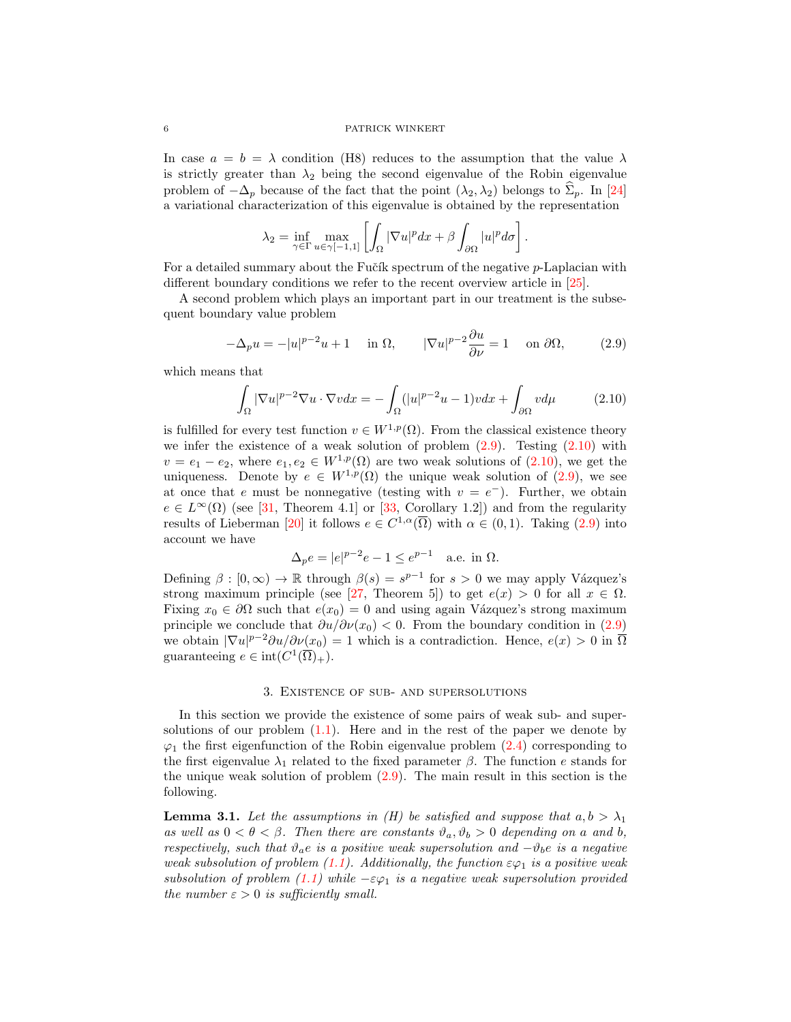In case  $a = b = \lambda$  condition (H8) reduces to the assumption that the value  $\lambda$ is strictly greater than  $\lambda_2$  being the second eigenvalue of the Robin eigenvalue problem of  $-\Delta_p$  because of the fact that the point  $(\lambda_2, \lambda_2)$  belongs to  $\hat{\Sigma}_p$ . In [\[24\]](#page-17-20) a variational characterization of this eigenvalue is obtained by the representation

<span id="page-5-0"></span>
$$
\lambda_2 = \inf_{\gamma \in \Gamma} \max_{u \in \gamma[-1,1]} \left[ \int_{\Omega} |\nabla u|^p dx + \beta \int_{\partial \Omega} |u|^p d\sigma \right].
$$

For a detailed summary about the Fučík spectrum of the negative  $p$ -Laplacian with different boundary conditions we refer to the recent overview article in [\[25\]](#page-17-21).

A second problem which plays an important part in our treatment is the subsequent boundary value problem

$$
-\Delta_p u = -|u|^{p-2}u + 1 \quad \text{in } \Omega, \qquad |\nabla u|^{p-2} \frac{\partial u}{\partial \nu} = 1 \quad \text{on } \partial \Omega, \tag{2.9}
$$

which means that

<span id="page-5-1"></span>
$$
\int_{\Omega} |\nabla u|^{p-2} \nabla u \cdot \nabla v dx = -\int_{\Omega} (|u|^{p-2}u - 1)v dx + \int_{\partial \Omega} v d\mu \tag{2.10}
$$

is fulfilled for every test function  $v \in W^{1,p}(\Omega)$ . From the classical existence theory we infer the existence of a weak solution of problem  $(2.9)$ . Testing  $(2.10)$  with  $v = e_1 - e_2$ , where  $e_1, e_2 \in W^{1,p}(\Omega)$  are two weak solutions of  $(2.10)$ , we get the uniqueness. Denote by  $e \in W^{1,p}(\Omega)$  the unique weak solution of [\(2.9\)](#page-5-0), we see at once that e must be nonnegative (testing with  $v = e^-$ ). Further, we obtain  $e \in L^{\infty}(\Omega)$  (see [\[31,](#page-18-2) Theorem 4.1] or [\[33,](#page-18-3) Corollary 1.2]) and from the regularity results of Lieberman [\[20\]](#page-17-0) it follows  $e \in C^{1,\alpha}(\overline{\Omega})$  with  $\alpha \in (0,1)$ . Taking [\(2.9\)](#page-5-0) into account we have

$$
\Delta_p e = |e|^{p-2} e - 1 \le e^{p-1} \quad \text{a.e. in } \Omega.
$$

Defining  $\beta : [0, \infty) \to \mathbb{R}$  through  $\beta(s) = s^{p-1}$  for  $s > 0$  we may apply Vázquez's strong maximum principle (see [\[27,](#page-17-22) Theorem 5]) to get  $e(x) > 0$  for all  $x \in \Omega$ . Fixing  $x_0 \in \partial\Omega$  such that  $e(x_0) = 0$  and using again Vázquez's strong maximum principle we conclude that  $\partial u/\partial \nu(x_0) < 0$ . From the boundary condition in [\(2.9\)](#page-5-0) we obtain  $|\nabla u|^{p-2}\partial u/\partial \nu(x_0) = 1$  which is a contradiction. Hence,  $e(x) > 0$  in  $\overline{\Omega}$ guaranteeing  $e \in \text{int}(C^1(\overline{\Omega})_+).$ 

### 3. Existence of sub- and supersolutions

In this section we provide the existence of some pairs of weak sub- and supersolutions of our problem  $(1.1)$ . Here and in the rest of the paper we denote by  $\varphi_1$  the first eigenfunction of the Robin eigenvalue problem [\(2.4\)](#page-3-3) corresponding to the first eigenvalue  $\lambda_1$  related to the fixed parameter  $\beta$ . The function e stands for the unique weak solution of problem [\(2.9\)](#page-5-0). The main result in this section is the following.

<span id="page-5-2"></span>**Lemma 3.1.** Let the assumptions in (H) be satisfied and suppose that  $a, b > \lambda_1$ as well as  $0 < \theta < \beta$ . Then there are constants  $\vartheta_a, \vartheta_b > 0$  depending on a and b, respectively, such that  $\vartheta_a e$  is a positive weak supersolution and  $-\vartheta_b e$  is a negative weak subsolution of problem [\(1.1\)](#page-0-0). Additionally, the function  $\epsilon\varphi_1$  is a positive weak subsolution of problem [\(1.1\)](#page-0-0) while  $-\varepsilon\varphi_1$  is a negative weak supersolution provided the number  $\varepsilon > 0$  is sufficiently small.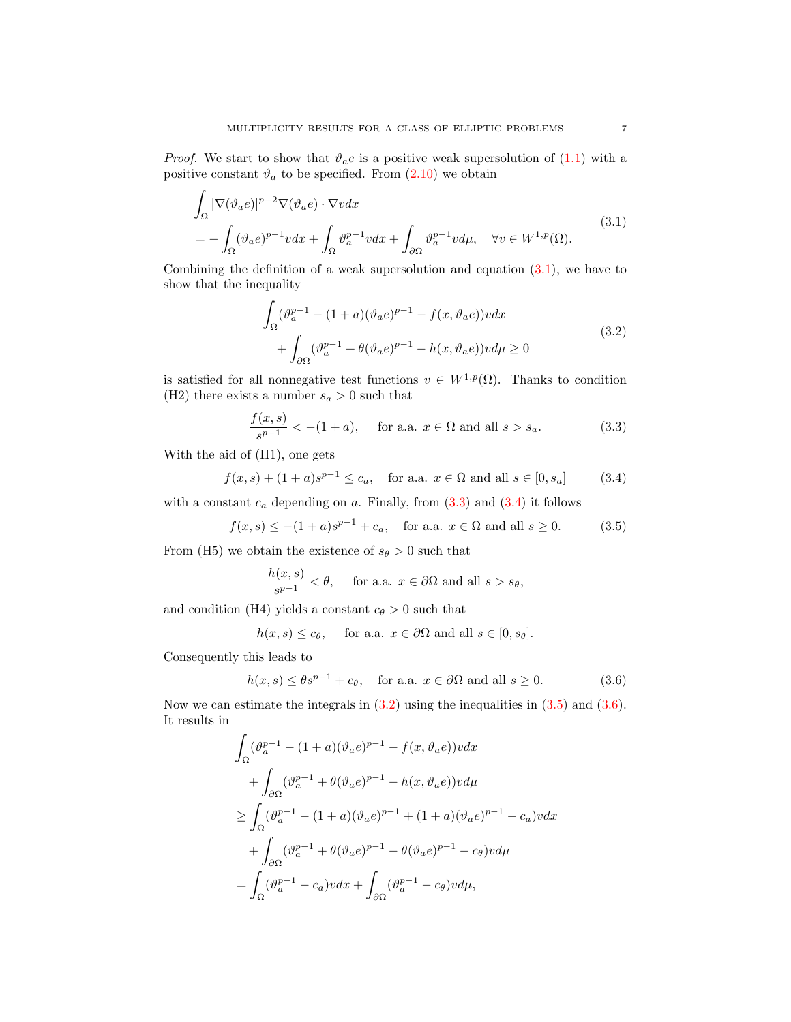*Proof.* We start to show that  $\vartheta_a e$  is a positive weak supersolution of [\(1.1\)](#page-0-0) with a positive constant  $\vartheta_a$  to be specified. From [\(2.10\)](#page-5-1) we obtain

$$
\int_{\Omega} |\nabla(\vartheta_a e)|^{p-2} \nabla(\vartheta_a e) \cdot \nabla v dx
$$
\n
$$
= -\int_{\Omega} (\vartheta_a e)^{p-1} v dx + \int_{\Omega} \vartheta_a^{p-1} v dx + \int_{\partial \Omega} \vartheta_a^{p-1} v d\mu, \quad \forall v \in W^{1,p}(\Omega).
$$
\n(3.1)

Combining the definition of a weak supersolution and equation [\(3.1\)](#page-6-0), we have to show that the inequality

<span id="page-6-3"></span><span id="page-6-1"></span><span id="page-6-0"></span>
$$
\int_{\Omega} (\vartheta_a^{p-1} - (1+a)(\vartheta_a e)^{p-1} - f(x, \vartheta_a e))v dx + \int_{\partial\Omega} (\vartheta_a^{p-1} + \theta(\vartheta_a e)^{p-1} - h(x, \vartheta_a e))v d\mu \ge 0
$$
\n(3.2)

is satisfied for all nonnegative test functions  $v \in W^{1,p}(\Omega)$ . Thanks to condition (H2) there exists a number  $s_a > 0$  such that

$$
\frac{f(x,s)}{s^{p-1}} < -(1+a), \quad \text{ for a.a. } x \in \Omega \text{ and all } s > s_a.
$$
 (3.3)

With the aid of (H1), one gets

$$
f(x, s) + (1 + a)s^{p-1} \le c_a
$$
, for a.a.  $x \in \Omega$  and all  $s \in [0, s_a]$  (3.4)

with a constant  $c_a$  depending on a. Finally, from  $(3.3)$  and  $(3.4)$  it follows

$$
f(x, s) \le -(1 + a)s^{p-1} + c_a
$$
, for a.a.  $x \in \Omega$  and all  $s \ge 0$ . (3.5)

From (H5) we obtain the existence of  $s_{\theta} > 0$  such that

<span id="page-6-4"></span><span id="page-6-2"></span>
$$
\frac{h(x,s)}{s^{p-1}} < \theta, \quad \text{ for a.a. } x \in \partial\Omega \text{ and all } s > s_{\theta},
$$

and condition (H4) yields a constant  $c_{\theta} > 0$  such that

<span id="page-6-5"></span>
$$
h(x, s) \leq c_{\theta}
$$
, for a.a.  $x \in \partial\Omega$  and all  $s \in [0, s_{\theta}].$ 

Consequently this leads to

$$
h(x,s) \le \theta s^{p-1} + c_{\theta}, \quad \text{for a.a. } x \in \partial \Omega \text{ and all } s \ge 0.
$$
 (3.6)

Now we can estimate the integrals in  $(3.2)$  using the inequalities in  $(3.5)$  and  $(3.6)$ . It results in

$$
\int_{\Omega} (\vartheta_a^{p-1} - (1+a)(\vartheta_a e)^{p-1} - f(x, \vartheta_a e))v dx
$$
  
+ 
$$
\int_{\partial\Omega} (\vartheta_a^{p-1} + \theta(\vartheta_a e)^{p-1} - h(x, \vartheta_a e))v d\mu
$$
  

$$
\geq \int_{\Omega} (\vartheta_a^{p-1} - (1+a)(\vartheta_a e)^{p-1} + (1+a)(\vartheta_a e)^{p-1} - c_a)v dx
$$
  
+ 
$$
\int_{\partial\Omega} (\vartheta_a^{p-1} + \theta(\vartheta_a e)^{p-1} - \theta(\vartheta_a e)^{p-1} - c_{\theta})v d\mu
$$
  
= 
$$
\int_{\Omega} (\vartheta_a^{p-1} - c_a)v dx + \int_{\partial\Omega} (\vartheta_a^{p-1} - c_{\theta})v d\mu,
$$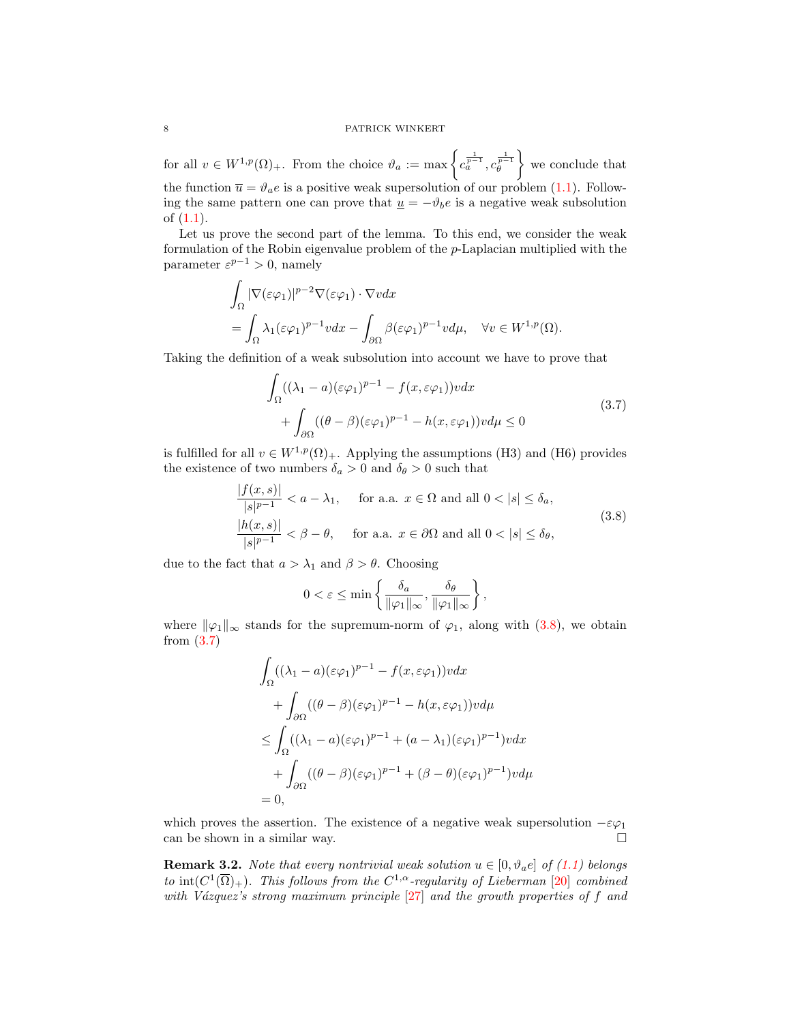for all  $v \in W^{1,p}(\Omega)_+$ . From the choice  $\vartheta_a := \max \left\{ c_a^{\frac{1}{p-1}}, c_\theta^{\frac{1}{p-1}} \right\}$  we conclude that the function  $\bar{u} = \vartheta_a e$  is a positive weak supersolution of our problem [\(1.1\)](#page-0-0). Following the same pattern one can prove that  $\underline{u} = -\vartheta_b e$  is a negative weak subsolution of [\(1.1\)](#page-0-0).

Let us prove the second part of the lemma. To this end, we consider the weak formulation of the Robin eigenvalue problem of the p-Laplacian multiplied with the parameter  $\varepsilon^{p-1} > 0$ , namely

$$
\int_{\Omega} |\nabla(\varepsilon \varphi_1)|^{p-2} \nabla(\varepsilon \varphi_1) \cdot \nabla v dx
$$
  
= 
$$
\int_{\Omega} \lambda_1(\varepsilon \varphi_1)^{p-1} v dx - \int_{\partial \Omega} \beta(\varepsilon \varphi_1)^{p-1} v d\mu, \quad \forall v \in W^{1,p}(\Omega).
$$

Taking the definition of a weak subsolution into account we have to prove that

<span id="page-7-1"></span>
$$
\int_{\Omega} ((\lambda_1 - a)(\varepsilon \varphi_1)^{p-1} - f(x, \varepsilon \varphi_1))v dx \n+ \int_{\partial \Omega} ((\theta - \beta)(\varepsilon \varphi_1)^{p-1} - h(x, \varepsilon \varphi_1))v d\mu \le 0
$$
\n(3.7)

is fulfilled for all  $v \in W^{1,p}(\Omega)_+$ . Applying the assumptions (H3) and (H6) provides the existence of two numbers  $\delta_a > 0$  and  $\delta_\theta > 0$  such that

$$
\frac{|f(x,s)|}{|s|^{p-1}} < a - \lambda_1, \quad \text{for a.a. } x \in \Omega \text{ and all } 0 < |s| \le \delta_a,
$$
  

$$
\frac{|h(x,s)|}{|s|^{p-1}} < \beta - \theta, \quad \text{for a.a. } x \in \partial\Omega \text{ and all } 0 < |s| \le \delta_\theta,
$$
  
(3.8)

due to the fact that  $a > \lambda_1$  and  $\beta > \theta$ . Choosing

<span id="page-7-0"></span>
$$
0 < \varepsilon \le \min\left\{\frac{\delta_a}{\|\varphi_1\|_{\infty}}, \frac{\delta_\theta}{\|\varphi_1\|_{\infty}}\right\},\
$$

where  $\|\varphi_1\|_{\infty}$  stands for the supremum-norm of  $\varphi_1$ , along with [\(3.8\)](#page-7-0), we obtain from [\(3.7\)](#page-7-1)

$$
\int_{\Omega} ((\lambda_1 - a)(\varepsilon \varphi_1)^{p-1} - f(x, \varepsilon \varphi_1))v dx
$$
  
+ 
$$
\int_{\partial \Omega} ((\theta - \beta)(\varepsilon \varphi_1)^{p-1} - h(x, \varepsilon \varphi_1))v d\mu
$$
  

$$
\leq \int_{\Omega} ((\lambda_1 - a)(\varepsilon \varphi_1)^{p-1} + (a - \lambda_1)(\varepsilon \varphi_1)^{p-1})v dx
$$
  
+ 
$$
\int_{\partial \Omega} ((\theta - \beta)(\varepsilon \varphi_1)^{p-1} + (\beta - \theta)(\varepsilon \varphi_1)^{p-1})v d\mu
$$
  
= 0,

which proves the assertion. The existence of a negative weak supersolution  $-\varepsilon\varphi_1$ can be shown in a similar way.  $\square$ 

<span id="page-7-2"></span>**Remark 3.2.** Note that every nontrivial weak solution  $u \in [0, \vartheta_a e]$  of [\(1.1\)](#page-0-0) belongs to  $\text{int}(C^1(\overline{\Omega})_+)$ . This follows from the  $C^{1,\alpha}$ -regularity of Lieberman [\[20\]](#page-17-0) combined with Vázquez's strong maximum principle  $[27]$  and the growth properties of f and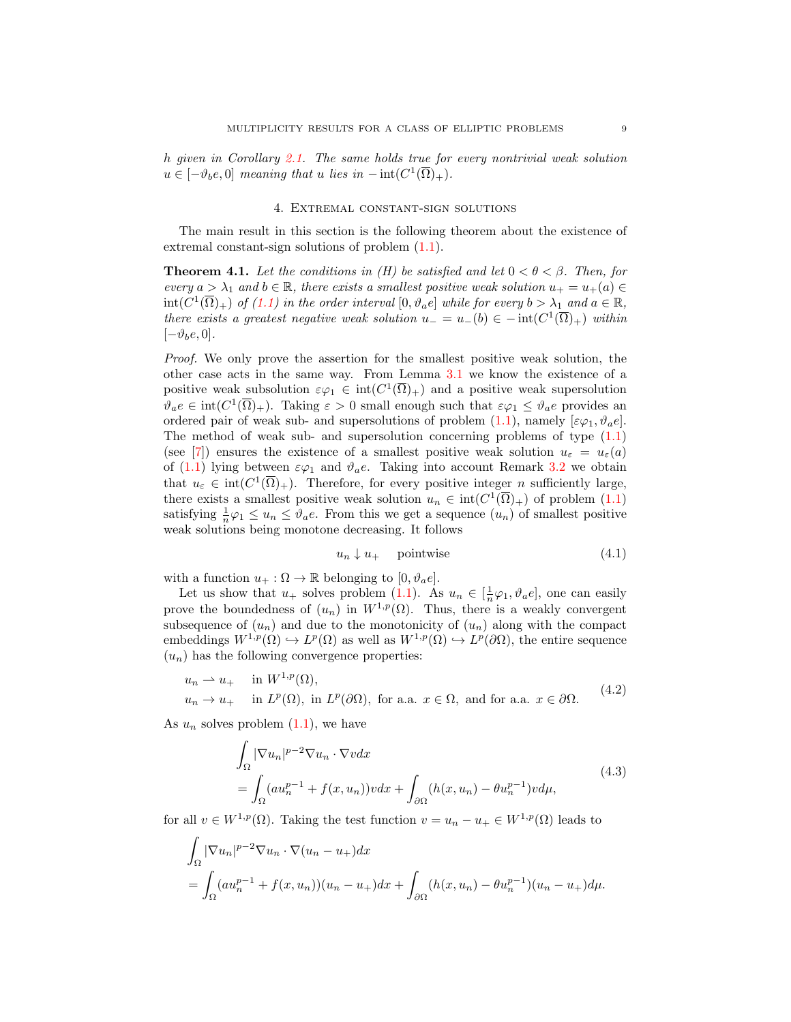h given in Corollary [2.1.](#page-3-0) The same holds true for every nontrivial weak solution  $u \in [-\vartheta_b e, 0]$  meaning that u lies in  $-\operatorname{int}(C^1(\overline{\Omega})_+).$ 

# 4. Extremal constant-sign solutions

<span id="page-8-0"></span>The main result in this section is the following theorem about the existence of extremal constant-sign solutions of problem [\(1.1\)](#page-0-0).

<span id="page-8-1"></span>**Theorem 4.1.** Let the conditions in (H) be satisfied and let  $0 < \theta < \beta$ . Then, for every  $a > \lambda_1$  and  $b \in \mathbb{R}$ , there exists a smallest positive weak solution  $u_+ = u_+(a) \in$  $\text{int}(C^1(\overline{\Omega})_+)$  of  $(1.1)$  in the order interval  $[0, \vartheta_a e]$  while for every  $b > \lambda_1$  and  $a \in \mathbb{R}$ , there exists a greatest negative weak solution  $u = u_-(b) \in -\text{int}(C^1(\overline{\Omega})_+)$  within  $[-\vartheta_b e, 0].$ 

Proof. We only prove the assertion for the smallest positive weak solution, the other case acts in the same way. From Lemma [3.1](#page-5-2) we know the existence of a positive weak subsolution  $\varepsilon\varphi_1 \in \text{int}(C^1(\overline{\Omega})_+)$  and a positive weak supersolution  $\vartheta_a e \in \text{int}(C^1(\overline{\Omega})_+)$ . Taking  $\varepsilon > 0$  small enough such that  $\varepsilon \varphi_1 \leq \vartheta_a e$  provides an ordered pair of weak sub- and supersolutions of problem  $(1.1)$ , namely  $[\varepsilon\varphi_1, \vartheta_a e]$ . The method of weak sub- and supersolution concerning problems of type [\(1.1\)](#page-0-0) (see [\[7\]](#page-17-17)) ensures the existence of a smallest positive weak solution  $u_{\varepsilon} = u_{\varepsilon}(a)$ of [\(1.1\)](#page-0-0) lying between  $\varepsilon\varphi_1$  and  $\vartheta_a e$ . Taking into account Remark [3.2](#page-7-2) we obtain that  $u_{\varepsilon} \in \text{int}(C^1(\overline{\Omega})_+)$ . Therefore, for every positive integer *n* sufficiently large, there exists a smallest positive weak solution  $u_n \in \text{int}(C^1(\overline{\Omega})_+)$  of problem  $(1.1)$ satisfying  $\frac{1}{n}\varphi_1 \leq u_n \leq \vartheta_a e$ . From this we get a sequence  $(u_n)$  of smallest positive weak solutions being monotone decreasing. It follows

<span id="page-8-4"></span><span id="page-8-3"></span><span id="page-8-2"></span>
$$
u_n \downarrow u_+ \quad \text{pointwise} \tag{4.1}
$$

with a function  $u_+ : \Omega \to \mathbb{R}$  belonging to  $[0, \vartheta_a e]$ .

Let us show that  $u_+$  solves problem [\(1.1\)](#page-0-0). As  $u_n \in [\frac{1}{n}\varphi_1, \vartheta_a e]$ , one can easily prove the boundedness of  $(u_n)$  in  $W^{1,p}(\Omega)$ . Thus, there is a weakly convergent subsequence of  $(u_n)$  and due to the monotonicity of  $(u_n)$  along with the compact embeddings  $W^{1,p}(\Omega) \hookrightarrow L^p(\Omega)$  as well as  $W^{1,p}(\Omega) \hookrightarrow L^p(\partial \Omega)$ , the entire sequence  $(u_n)$  has the following convergence properties:

$$
u_n \rightharpoonup u_+ \quad \text{in } W^{1,p}(\Omega),
$$
  
\n
$$
u_n \to u_+ \quad \text{in } L^p(\Omega), \text{ in } L^p(\partial\Omega), \text{ for a.a. } x \in \Omega, \text{ and for a.a. } x \in \partial\Omega.
$$
 (4.2)

As  $u_n$  solves problem  $(1.1)$ , we have

$$
\int_{\Omega} |\nabla u_n|^{p-2} \nabla u_n \cdot \nabla v dx
$$
\n
$$
= \int_{\Omega} (au_n^{p-1} + f(x, u_n)) v dx + \int_{\partial \Omega} (h(x, u_n) - \theta u_n^{p-1}) v d\mu,
$$
\n(4.3)

for all  $v \in W^{1,p}(\Omega)$ . Taking the test function  $v = u_n - u_+ \in W^{1,p}(\Omega)$  leads to

$$
\int_{\Omega} |\nabla u_n|^{p-2} \nabla u_n \cdot \nabla (u_n - u_+) dx
$$
  
= 
$$
\int_{\Omega} (au_n^{p-1} + f(x, u_n))(u_n - u_+) dx + \int_{\partial \Omega} (h(x, u_n) - \theta u_n^{p-1})(u_n - u_+) d\mu.
$$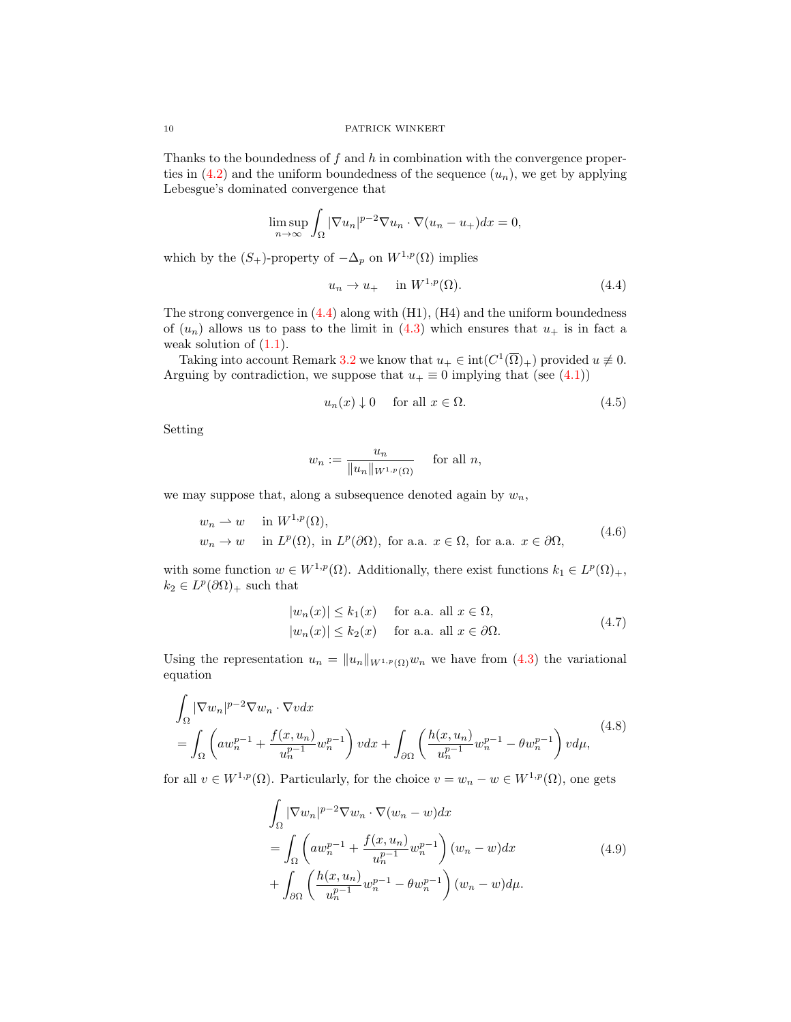Thanks to the boundedness of  $f$  and  $h$  in combination with the convergence properties in  $(4.2)$  and the uniform boundedness of the sequence  $(u_n)$ , we get by applying Lebesgue's dominated convergence that

$$
\limsup_{n \to \infty} \int_{\Omega} |\nabla u_n|^{p-2} \nabla u_n \cdot \nabla (u_n - u_+) dx = 0,
$$

which by the  $(S_+)$ -property of  $-\Delta_p$  on  $W^{1,p}(\Omega)$  implies

<span id="page-9-0"></span>
$$
u_n \to u_+ \quad \text{in } W^{1,p}(\Omega). \tag{4.4}
$$

The strong convergence in [\(4.4\)](#page-9-0) along with (H1), (H4) and the uniform boundedness of  $(u_n)$  allows us to pass to the limit in  $(4.3)$  which ensures that  $u_+$  is in fact a weak solution of  $(1.1)$ .

Taking into account Remark [3.2](#page-7-2) we know that  $u_+ \in \text{int}(C^1(\overline{\Omega})_+)$  provided  $u \neq 0$ . Arguing by contradiction, we suppose that  $u_+ \equiv 0$  implying that (see [\(4.1\)](#page-8-4))

<span id="page-9-4"></span>
$$
u_n(x) \downarrow 0 \quad \text{ for all } x \in \Omega. \tag{4.5}
$$

Setting

<span id="page-9-2"></span>
$$
w_n := \frac{u_n}{\|u_n\|_{W^{1,p}(\Omega)}} \quad \text{ for all } n,
$$

we may suppose that, along a subsequence denoted again by  $w_n$ ,

$$
w_n \rightharpoonup w \quad \text{in } W^{1,p}(\Omega),
$$
  
\n
$$
w_n \rightharpoonup w \quad \text{in } L^p(\Omega), \text{ in } L^p(\partial \Omega), \text{ for a.a. } x \in \Omega, \text{ for a.a. } x \in \partial \Omega,
$$
\n
$$
(4.6)
$$

with some function  $w \in W^{1,p}(\Omega)$ . Additionally, there exist functions  $k_1 \in L^p(\Omega)_+$ ,  $k_2 \in L^p(\partial\Omega)_+$  such that

<span id="page-9-5"></span><span id="page-9-1"></span>
$$
|w_n(x)| \le k_1(x) \quad \text{for a.a. all } x \in \Omega,
$$
  

$$
|w_n(x)| \le k_2(x) \quad \text{for a.a. all } x \in \partial\Omega.
$$
 (4.7)

Using the representation  $u_n = ||u_n||_{W^{1,p}(\Omega)} w_n$  we have from [\(4.3\)](#page-8-3) the variational equation

$$
\int_{\Omega} |\nabla w_n|^{p-2} \nabla w_n \cdot \nabla v dx
$$
\n
$$
= \int_{\Omega} \left( aw_n^{p-1} + \frac{f(x, u_n)}{u_n^{p-1}} w_n^{p-1} \right) v dx + \int_{\partial \Omega} \left( \frac{h(x, u_n)}{u_n^{p-1}} w_n^{p-1} - \theta w_n^{p-1} \right) v d\mu,
$$
\n
$$
(4.8)
$$

for all  $v \in W^{1,p}(\Omega)$ . Particularly, for the choice  $v = w_n - w \in W^{1,p}(\Omega)$ , one gets

<span id="page-9-3"></span>
$$
\int_{\Omega} |\nabla w_n|^{p-2} \nabla w_n \cdot \nabla (w_n - w) dx
$$
\n
$$
= \int_{\Omega} \left( aw_n^{p-1} + \frac{f(x, u_n)}{u_n^{p-1}} w_n^{p-1} \right) (w_n - w) dx
$$
\n
$$
+ \int_{\partial \Omega} \left( \frac{h(x, u_n)}{u_n^{p-1}} w_n^{p-1} - \theta w_n^{p-1} \right) (w_n - w) d\mu.
$$
\n(4.9)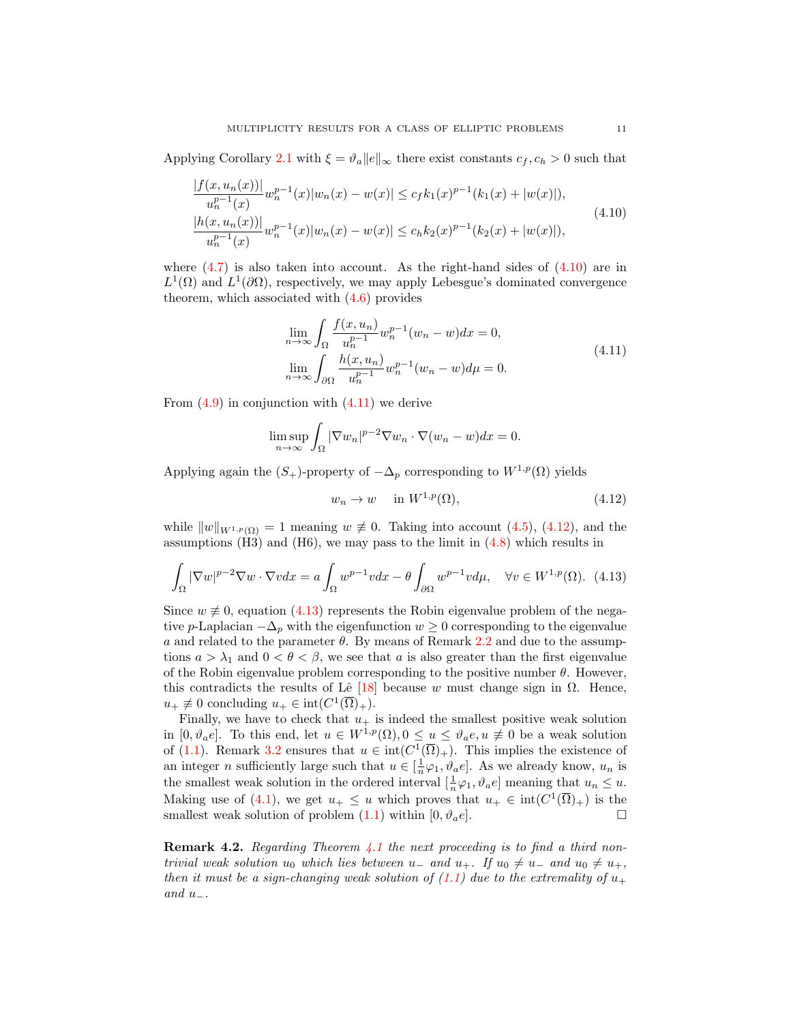Applying Corollary [2.1](#page-3-0) with  $\xi = \vartheta_a ||e||_{\infty}$  there exist constants  $c_f, c_h > 0$  such that

$$
\frac{|f(x, u_n(x))|}{u_n^{p-1}(x)} w_n^{p-1}(x) |w_n(x) - w(x)| \le c_f k_1(x)^{p-1} (k_1(x) + |w(x)|),
$$
  
\n
$$
\frac{|h(x, u_n(x))|}{u_n^{p-1}(x)} w_n^{p-1}(x) |w_n(x) - w(x)| \le c_h k_2(x)^{p-1} (k_2(x) + |w(x)|),
$$
\n(4.10)

where  $(4.7)$  is also taken into account. As the right-hand sides of  $(4.10)$  are in  $L^1(\Omega)$  and  $L^1(\partial\Omega)$ , respectively, we may apply Lebesgue's dominated convergence theorem, which associated with  $(4.6)$  provides

<span id="page-10-0"></span>
$$
\lim_{n \to \infty} \int_{\Omega} \frac{f(x, u_n)}{u_n^{p-1}} w_n^{p-1} (w_n - w) dx = 0,
$$
\n
$$
\lim_{n \to \infty} \int_{\partial \Omega} \frac{h(x, u_n)}{u_n^{p-1}} w_n^{p-1} (w_n - w) d\mu = 0.
$$
\n(4.11)

From  $(4.9)$  in conjunction with  $(4.11)$  we derive

$$
\limsup_{n \to \infty} \int_{\Omega} |\nabla w_n|^{p-2} \nabla w_n \cdot \nabla (w_n - w) dx = 0.
$$

Applying again the  $(S_+)$ -property of  $-\Delta_p$  corresponding to  $W^{1,p}(\Omega)$  yields

<span id="page-10-3"></span><span id="page-10-2"></span><span id="page-10-1"></span>
$$
w_n \to w \quad \text{in } W^{1,p}(\Omega), \tag{4.12}
$$

while  $||w||_{W^{1,p}(\Omega)} = 1$  meaning  $w \not\equiv 0$ . Taking into account [\(4.5\)](#page-9-4), [\(4.12\)](#page-10-2), and the assumptions  $(H3)$  and  $(H6)$ , we may pass to the limit in  $(4.8)$  which results in

$$
\int_{\Omega} |\nabla w|^{p-2} \nabla w \cdot \nabla v dx = a \int_{\Omega} w^{p-1} v dx - \theta \int_{\partial \Omega} w^{p-1} v d\mu, \quad \forall v \in W^{1,p}(\Omega). \tag{4.13}
$$

Since  $w \not\equiv 0$ , equation [\(4.13\)](#page-10-3) represents the Robin eigenvalue problem of the negative p-Laplacian  $-\Delta_p$  with the eigenfunction  $w \geq 0$  corresponding to the eigenvalue a and related to the parameter  $\theta$ . By means of Remark [2.2](#page-4-1) and due to the assumptions  $a > \lambda_1$  and  $0 < \theta < \beta$ , we see that a is also greater than the first eigenvalue of the Robin eigenvalue problem corresponding to the positive number  $\theta$ . However, this contradicts the results of Lê [\[18\]](#page-17-19) because w must change sign in  $\Omega$ . Hence,  $u_+ \not\equiv 0$  concluding  $u_+ \in \text{int}(C^1(\overline{\Omega})_+).$ 

Finally, we have to check that  $u_+$  is indeed the smallest positive weak solution in  $[0, \vartheta_a e]$ . To this end, let  $u \in W^{1,p}(\Omega)$ ,  $0 \le u \le \vartheta_a e, u \neq 0$  be a weak solution of [\(1.1\)](#page-0-0). Remark [3.2](#page-7-2) ensures that  $u \in \text{int}(C^1(\overline{\Omega})_+)$ . This implies the existence of an integer *n* sufficiently large such that  $u \in [\frac{1}{n}\varphi_1, \vartheta_a e]$ . As we already know,  $u_n$  is the smallest weak solution in the ordered interval  $[\frac{1}{n}\varphi_1, \vartheta_a e]$  meaning that  $u_n \leq u$ . Making use of [\(4.1\)](#page-8-4), we get  $u_+ \leq u$  which proves that  $u_+ \in \text{int}(C^1(\overline{\Omega})_+)$  is the smallest weak solution of problem  $(1.1)$  within  $[0, \vartheta_a e]$ .

**Remark 4.2.** Regarding Theorem [4.1](#page-8-1) the next proceeding is to find a third nontrivial weak solution  $u_0$  which lies between  $u_-$  and  $u_+$ . If  $u_0 \neq u_-$  and  $u_0 \neq u_+$ , then it must be a sign-changing weak solution of  $(1.1)$  due to the extremality of  $u_+$ and  $u_-\$ .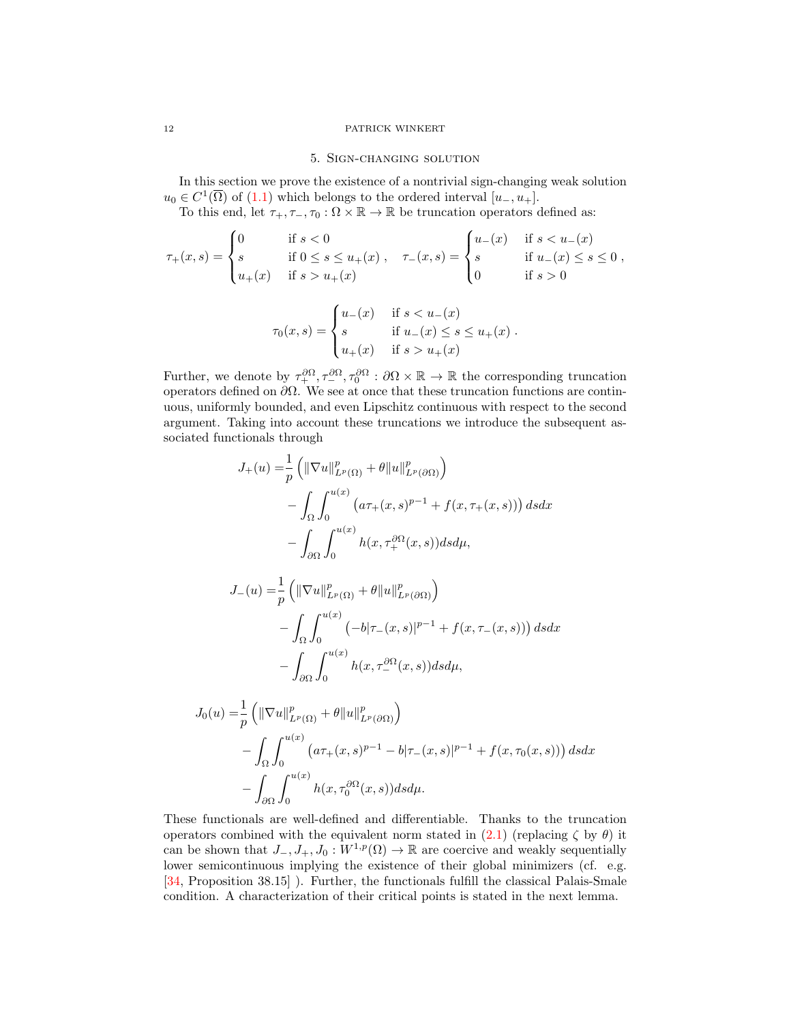# 5. Sign-changing solution

In this section we prove the existence of a nontrivial sign-changing weak solution  $u_0 \in C^1(\overline{\Omega})$  of  $(1.1)$  which belongs to the ordered interval  $[u_-, u_+].$ 

To this end, let  $\tau_+$ ,  $\tau_-$ ,  $\tau_0$  :  $\Omega \times \mathbb{R} \to \mathbb{R}$  be truncation operators defined as:

$$
\tau_{+}(x,s) = \begin{cases}\n0 & \text{if } s < 0 \\
s & \text{if } 0 \le s \le u_{+}(x) , \quad \tau_{-}(x,s) = \begin{cases}\nu_{-}(x) & \text{if } s < u_{-}(x) \\
s & \text{if } u_{-}(x) \le s \le 0 \n\end{cases}, \\
u_{+}(x) & \text{if } s > u_{+}(x) \\
\tau_{0}(x,s) = \begin{cases}\nu_{-}(x) & \text{if } s < u_{-}(x) \\
s & \text{if } u_{-}(x) \le s \le u_{+}(x) \\
u_{+}(x) & \text{if } s > u_{+}(x)\n\end{cases}.\n\end{cases}
$$

Further, we denote by  $\tau_+^{\partial\Omega}, \tau_-^{\partial\Omega}, \tau_0^{\partial\Omega} : \partial\Omega \times \mathbb{R} \to \mathbb{R}$  the corresponding truncation operators defined on  $\partial\Omega$ . We see at once that these truncation functions are continuous, uniformly bounded, and even Lipschitz continuous with respect to the second argument. Taking into account these truncations we introduce the subsequent associated functionals through

$$
J_{+}(u) = \frac{1}{p} \left( \|\nabla u\|_{L^{p}(\Omega)}^{p} + \theta \|u\|_{L^{p}(\partial\Omega)}^{p} \right)
$$
  

$$
- \int_{\Omega} \int_{0}^{u(x)} \left( a\tau_{+}(x,s)^{p-1} + f(x,\tau_{+}(x,s)) \right) ds dx
$$
  

$$
- \int_{\partial\Omega} \int_{0}^{u(x)} h(x,\tau_{+}^{\partial\Omega}(x,s)) ds d\mu,
$$

$$
J_{-}(u) = \frac{1}{p} \left( \|\nabla u\|_{L^{p}(\Omega)}^{p} + \theta \|u\|_{L^{p}(\partial\Omega)}^{p} \right)
$$
  

$$
- \int_{\Omega} \int_{0}^{u(x)} \left( -b|\tau_{-}(x,s)|^{p-1} + f(x,\tau_{-}(x,s)) \right) ds dx
$$
  

$$
- \int_{\partial\Omega} \int_{0}^{u(x)} h(x,\tau_{-}^{\partial\Omega}(x,s)) ds d\mu,
$$

$$
J_0(u) = \frac{1}{p} \left( \|\nabla u\|_{L^p(\Omega)}^p + \theta \|u\|_{L^p(\partial \Omega)}^p \right)
$$
  

$$
- \int_{\Omega} \int_0^{u(x)} \left( a\tau_+(x,s)^{p-1} - b|\tau_-(x,s)|^{p-1} + f(x,\tau_0(x,s)) \right) ds dx
$$
  

$$
- \int_{\partial \Omega} \int_0^{u(x)} h(x,\tau_0^{\partial \Omega}(x,s)) ds d\mu.
$$

These functionals are well-defined and differentiable. Thanks to the truncation operators combined with the equivalent norm stated in  $(2.1)$  (replacing  $\zeta$  by  $\theta$ ) it can be shown that  $J_-, J_+, J_0 : W^{1,p}(\Omega) \to \mathbb{R}$  are coercive and weakly sequentially lower semicontinuous implying the existence of their global minimizers (cf. e.g. [\[34,](#page-18-4) Proposition 38.15] ). Further, the functionals fulfill the classical Palais-Smale condition. A characterization of their critical points is stated in the next lemma.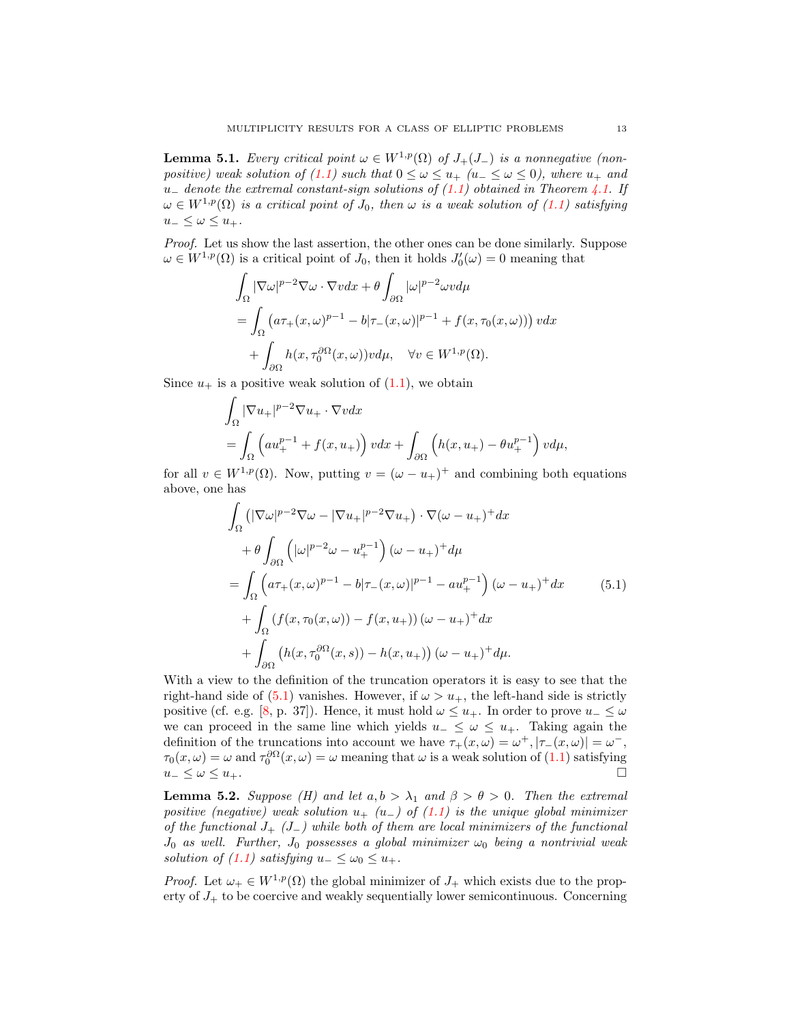<span id="page-12-1"></span>**Lemma 5.1.** Every critical point  $\omega \in W^{1,p}(\Omega)$  of  $J_+(J_-)$  is a nonnegative (non-positive) weak solution of [\(1.1\)](#page-0-0) such that  $0 \leq \omega \leq u_{+}$  ( $u_{-} \leq \omega \leq 0$ ), where  $u_{+}$  and u<sub>−</sub> denote the extremal constant-sign solutions of  $(1.1)$  obtained in Theorem [4.1.](#page-8-1) If  $\omega \in W^{1,p}(\Omega)$  is a critical point of  $J_0$ , then  $\omega$  is a weak solution of  $(1.1)$  satisfying  $u_-\leq \omega\leq u_+$ .

Proof. Let us show the last assertion, the other ones can be done similarly. Suppose  $\omega \in W^{1,p}(\Omega)$  is a critical point of  $J_0$ , then it holds  $J'_0(\omega) = 0$  meaning that

$$
\int_{\Omega} |\nabla \omega|^{p-2} \nabla \omega \cdot \nabla v dx + \theta \int_{\partial \Omega} |\omega|^{p-2} \omega v d\mu
$$
  
= 
$$
\int_{\Omega} (a\tau_{+}(x,\omega)^{p-1} - b|\tau_{-}(x,\omega)|^{p-1} + f(x,\tau_{0}(x,\omega))) v dx
$$
  
+ 
$$
\int_{\partial \Omega} h(x,\tau_{0}^{\partial \Omega}(x,\omega)) v d\mu, \quad \forall v \in W^{1,p}(\Omega).
$$

Since  $u_+$  is a positive weak solution of  $(1.1)$ , we obtain

$$
\int_{\Omega} |\nabla u_+|^{p-2} \nabla u_+ \cdot \nabla v dx
$$
\n
$$
= \int_{\Omega} \left( a u_+^{p-1} + f(x, u_+) \right) v dx + \int_{\partial \Omega} \left( h(x, u_+) - \theta u_+^{p-1} \right) v d\mu,
$$

for all  $v \in W^{1,p}(\Omega)$ . Now, putting  $v = (\omega - u_+)^+$  and combining both equations above, one has

<span id="page-12-0"></span>
$$
\int_{\Omega} \left( |\nabla \omega|^{p-2} \nabla \omega - |\nabla u_+|^{p-2} \nabla u_+ \right) \cdot \nabla (\omega - u_+)^+ dx
$$
\n
$$
+ \theta \int_{\partial \Omega} \left( |\omega|^{p-2} \omega - u_+^{p-1} \right) (\omega - u_+)^+ d\mu
$$
\n
$$
= \int_{\Omega} \left( a\tau_+(x,\omega)^{p-1} - b|\tau_-(x,\omega)|^{p-1} - au_+^{p-1} \right) (\omega - u_+)^+ dx
$$
\n
$$
+ \int_{\Omega} \left( f(x,\tau_0(x,\omega)) - f(x,u_+) \right) (\omega - u_+)^+ dx
$$
\n
$$
+ \int_{\partial \Omega} \left( h(x,\tau_0^{\partial \Omega}(x,s)) - h(x,u_+) \right) (\omega - u_+)^+ d\mu.
$$
\n(5.1)

With a view to the definition of the truncation operators it is easy to see that the right-hand side of [\(5.1\)](#page-12-0) vanishes. However, if  $\omega > u_+$ , the left-hand side is strictly positive (cf. e.g. [\[8,](#page-17-23) p. 37]). Hence, it must hold  $\omega \leq u_+$ . In order to prove  $u_- \leq \omega$ we can proceed in the same line which yields  $u_-\leq \omega \leq u_+$ . Taking again the definition of the truncations into account we have  $\tau_+(x,\omega) = \omega^+, |\tau_-(x,\omega)| = \omega^-,$  $\tau_0(x,\omega) = \omega$  and  $\tau_0^{\partial\Omega}(x,\omega) = \omega$  meaning that  $\omega$  is a weak solution of [\(1.1\)](#page-0-0) satisfying  $u_-\leq \omega \leq u_+$ .

<span id="page-12-2"></span>**Lemma 5.2.** Suppose (H) and let  $a, b > \lambda_1$  and  $\beta > \theta > 0$ . Then the extremal positive (negative) weak solution  $u_{+}$  (u\_) of [\(1.1\)](#page-0-0) is the unique global minimizer of the functional  $J_{+}$  ( $J_{-}$ ) while both of them are local minimizers of the functional  $J_0$  as well. Further,  $J_0$  possesses a global minimizer  $\omega_0$  being a nontrivial weak solution of [\(1.1\)](#page-0-0) satisfying  $u_-\leq \omega_0 \leq u_+$ .

*Proof.* Let  $\omega_+ \in W^{1,p}(\Omega)$  the global minimizer of  $J_+$  which exists due to the property of  $J_{+}$  to be coercive and weakly sequentially lower semicontinuous. Concerning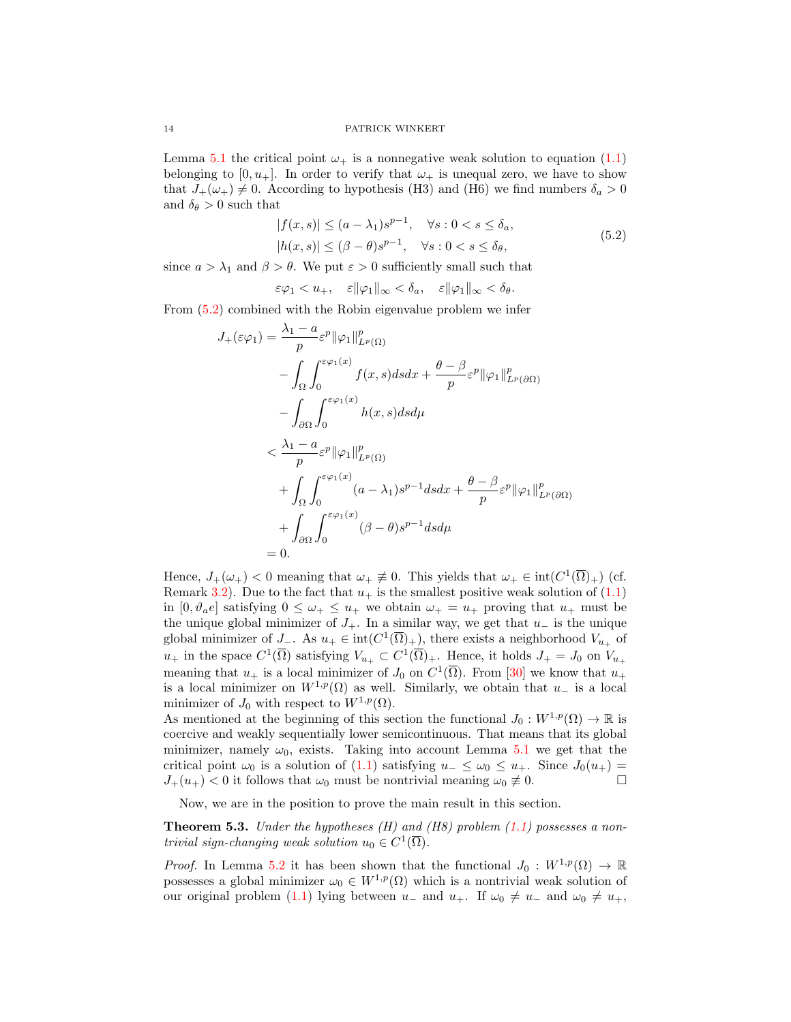Lemma [5.1](#page-12-1) the critical point  $\omega_+$  is a nonnegative weak solution to equation [\(1.1\)](#page-0-0) belonging to  $[0, u_+]$ . In order to verify that  $\omega_+$  is unequal zero, we have to show that  $J_+(\omega_+) \neq 0$ . According to hypothesis (H3) and (H6) we find numbers  $\delta_a > 0$ and  $\delta_{\theta} > 0$  such that

<span id="page-13-0"></span>
$$
|f(x,s)| \le (a - \lambda_1)s^{p-1}, \quad \forall s : 0 < s \le \delta_a,
$$
  

$$
|h(x,s)| \le (\beta - \theta)s^{p-1}, \quad \forall s : 0 < s \le \delta_\theta,
$$
 (5.2)

since  $a > \lambda_1$  and  $\beta > \theta$ . We put  $\varepsilon > 0$  sufficiently small such that

$$
\varepsilon \varphi_1 < u_+, \quad \varepsilon \|\varphi_1\|_{\infty} < \delta_a, \quad \varepsilon \|\varphi_1\|_{\infty} < \delta_\theta.
$$

From [\(5.2\)](#page-13-0) combined with the Robin eigenvalue problem we infer

$$
J_{+}(\varepsilon\varphi_{1}) = \frac{\lambda_{1} - a}{p} \varepsilon^{p} ||\varphi_{1}||_{L^{p}(\Omega)}^{p}
$$
  
\n
$$
- \int_{\Omega} \int_{0}^{\varepsilon\varphi_{1}(x)} f(x, s) ds dx + \frac{\theta - \beta}{p} \varepsilon^{p} ||\varphi_{1}||_{L^{p}(\partial\Omega)}^{p}
$$
  
\n
$$
- \int_{\partial\Omega} \int_{0}^{\varepsilon\varphi_{1}(x)} h(x, s) ds d\mu
$$
  
\n
$$
< \frac{\lambda_{1} - a}{p} \varepsilon^{p} ||\varphi_{1}||_{L^{p}(\Omega)}^{p}
$$
  
\n
$$
+ \int_{\Omega} \int_{0}^{\varepsilon\varphi_{1}(x)} (a - \lambda_{1}) s^{p-1} ds dx + \frac{\theta - \beta}{p} \varepsilon^{p} ||\varphi_{1}||_{L^{p}(\partial\Omega)}^{p}
$$
  
\n
$$
+ \int_{\partial\Omega} \int_{0}^{\varepsilon\varphi_{1}(x)} (\beta - \theta) s^{p-1} ds d\mu
$$
  
\n= 0.

Hence,  $J_{+}(\omega_{+})$  < 0 meaning that  $\omega_{+} \neq 0$ . This yields that  $\omega_{+} \in \text{int}(C^{1}(\overline{\Omega})_{+})$  (cf. Remark [3.2\)](#page-7-2). Due to the fact that  $u_+$  is the smallest positive weak solution of  $(1.1)$ in  $[0, \vartheta_a e]$  satisfying  $0 \leq \omega_+ \leq u_+$  we obtain  $\omega_+ = u_+$  proving that  $u_+$  must be the unique global minimizer of  $J_+$ . In a similar way, we get that  $u_-\$  is the unique global minimizer of  $J_-\$ . As  $u_+ \in \text{int}(C^1(\overline{\Omega})_+)$ , there exists a neighborhood  $V_{u_+}$  of  $u_+$  in the space  $C^1(\overline{\Omega})$  satisfying  $V_{u_+}\subset C^1(\overline{\Omega})_+$ . Hence, it holds  $J_+=J_0$  on  $V_{u_+}$ meaning that  $u_+$  is a local minimizer of  $J_0$  on  $C^1(\overline{\Omega})$ . From [\[30\]](#page-18-5) we know that  $u_+$ is a local minimizer on  $W^{1,p}(\Omega)$  as well. Similarly, we obtain that  $u_-\,$  is a local minimizer of  $J_0$  with respect to  $W^{1,p}(\Omega)$ .

As mentioned at the beginning of this section the functional  $J_0 : W^{1,p}(\Omega) \to \mathbb{R}$  is coercive and weakly sequentially lower semicontinuous. That means that its global minimizer, namely  $\omega_0$ , exists. Taking into account Lemma [5.1](#page-12-1) we get that the critical point  $\omega_0$  is a solution of [\(1.1\)](#page-0-0) satisfying  $u_-\leq \omega_0 \leq u_+$ . Since  $J_0(u_+)$  $J_+(u_+) < 0$  it follows that  $\omega_0$  must be nontrivial meaning  $\omega_0 \neq 0$ .

Now, we are in the position to prove the main result in this section.

**Theorem 5.3.** Under the hypotheses  $(H)$  and  $(H8)$  problem  $(1.1)$  possesses a nontrivial sign-changing weak solution  $u_0 \in C^1(\overline{\Omega})$ .

*Proof.* In Lemma [5.2](#page-12-2) it has been shown that the functional  $J_0: W^{1,p}(\Omega) \to \mathbb{R}$ possesses a global minimizer  $\omega_0 \in W^{1,p}(\Omega)$  which is a nontrivial weak solution of our original problem [\(1.1\)](#page-0-0) lying between  $u_-\,$  and  $u_+$ . If  $\omega_0 \neq u_-\,$  and  $\omega_0 \neq u_+$ ,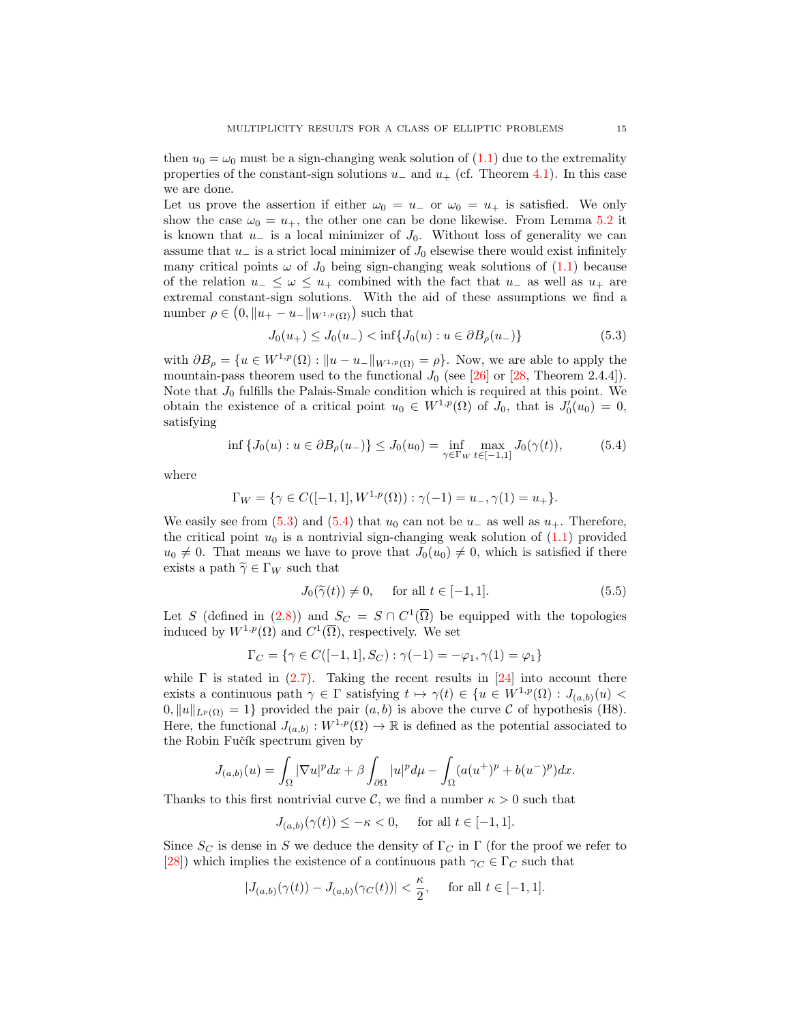then  $u_0 = \omega_0$  must be a sign-changing weak solution of [\(1.1\)](#page-0-0) due to the extremality properties of the constant-sign solutions  $u_-\,$  and  $u_+$  (cf. Theorem [4.1\)](#page-8-1). In this case we are done.

Let us prove the assertion if either  $\omega_0 = u_-$  or  $\omega_0 = u_+$  is satisfied. We only show the case  $\omega_0 = u_+$ , the other one can be done likewise. From Lemma [5.2](#page-12-2) it is known that  $u_-\$  is a local minimizer of  $J_0$ . Without loss of generality we can assume that  $u_-\$  is a strict local minimizer of  $J_0$  elsewise there would exist infinitely many critical points  $\omega$  of  $J_0$  being sign-changing weak solutions of [\(1.1\)](#page-0-0) because of the relation  $u_-\leq \omega \leq u_+$  combined with the fact that  $u_-$  as well as  $u_+$  are extremal constant-sign solutions. With the aid of these assumptions we find a number  $\rho \in (0, \|u_+ - u_-\|_{W^{1,p}(\Omega)})$  such that

<span id="page-14-0"></span>
$$
J_0(u_+) \le J_0(u_-) < \inf\{J_0(u) : u \in \partial B_\rho(u_-)\}\tag{5.3}
$$

with  $\partial B_{\rho} = \{u \in W^{1,p}(\Omega) : ||u - u_-||_{W^{1,p}(\Omega)} = \rho\}$ . Now, we are able to apply the mountain-pass theorem used to the functional  $J_0$  (see [\[26\]](#page-17-24) or [\[28,](#page-17-25) Theorem 2.4.4]). Note that  $J_0$  fulfills the Palais-Smale condition which is required at this point. We obtain the existence of a critical point  $u_0 \in W^{1,p}(\Omega)$  of  $J_0$ , that is  $J'_0(u_0) = 0$ , satisfying

$$
\inf \{ J_0(u) : u \in \partial B_\rho(u_-) \} \le J_0(u_0) = \inf_{\gamma \in \Gamma_W} \max_{t \in [-1,1]} J_0(\gamma(t)), \tag{5.4}
$$

where

$$
\Gamma_W = \{ \gamma \in C([-1, 1], W^{1, p}(\Omega)) : \gamma(-1) = u_-, \gamma(1) = u_+ \}.
$$

We easily see from [\(5.3\)](#page-14-0) and [\(5.4\)](#page-14-1) that  $u_0$  can not be  $u_-\,$  as well as  $u_+\,$ . Therefore, the critical point  $u_0$  is a nontrivial sign-changing weak solution of  $(1.1)$  provided  $u_0 \neq 0$ . That means we have to prove that  $J_0(u_0) \neq 0$ , which is satisfied if there exists a path  $\widetilde{\gamma} \in \Gamma_W$  such that

<span id="page-14-2"></span><span id="page-14-1"></span>
$$
J_0(\widetilde{\gamma}(t)) \neq 0, \quad \text{ for all } t \in [-1, 1]. \tag{5.5}
$$

Let S (defined in [\(2.8\)](#page-4-2)) and  $S_C = S \cap C^1(\overline{\Omega})$  be equipped with the topologies induced by  $W^{1,p}(\Omega)$  and  $C^1(\overline{\Omega})$ , respectively. We set

$$
\Gamma_C = \{ \gamma \in C([-1, 1], S_C) : \gamma(-1) = -\varphi_1, \gamma(1) = \varphi_1 \}
$$

while  $\Gamma$  is stated in [\(2.7\)](#page-4-3). Taking the recent results in [\[24\]](#page-17-20) into account there exists a continuous path  $\gamma \in \Gamma$  satisfying  $t \mapsto \gamma(t) \in \{u \in W^{1,p}(\Omega) : J_{(a,b)}(u)$  $0, \|u\|_{L^p(\Omega)} = 1$  provided the pair  $(a, b)$  is above the curve C of hypothesis (H8). Here, the functional  $J_{(a,b)}: W^{1,p}(\Omega) \to \mathbb{R}$  is defined as the potential associated to the Robin Fučík spectrum given by

$$
J_{(a,b)}(u) = \int_{\Omega} |\nabla u|^p dx + \beta \int_{\partial \Omega} |u|^p d\mu - \int_{\Omega} (a(u^+)^p + b(u^-)^p) dx.
$$

Thanks to this first nontrivial curve C, we find a number  $\kappa > 0$  such that

 $J_{(a,b)}(\gamma(t)) \leq -\kappa < 0$ , for all  $t \in [-1,1]$ .

Since  $S_C$  is dense in S we deduce the density of  $\Gamma_C$  in  $\Gamma$  (for the proof we refer to [\[28\]](#page-17-25)) which implies the existence of a continuous path  $\gamma_C \in \Gamma_C$  such that

$$
|J_{(a,b)}(\gamma(t)) - J_{(a,b)}(\gamma_C(t))| < \frac{\kappa}{2}, \quad \text{ for all } t \in [-1,1].
$$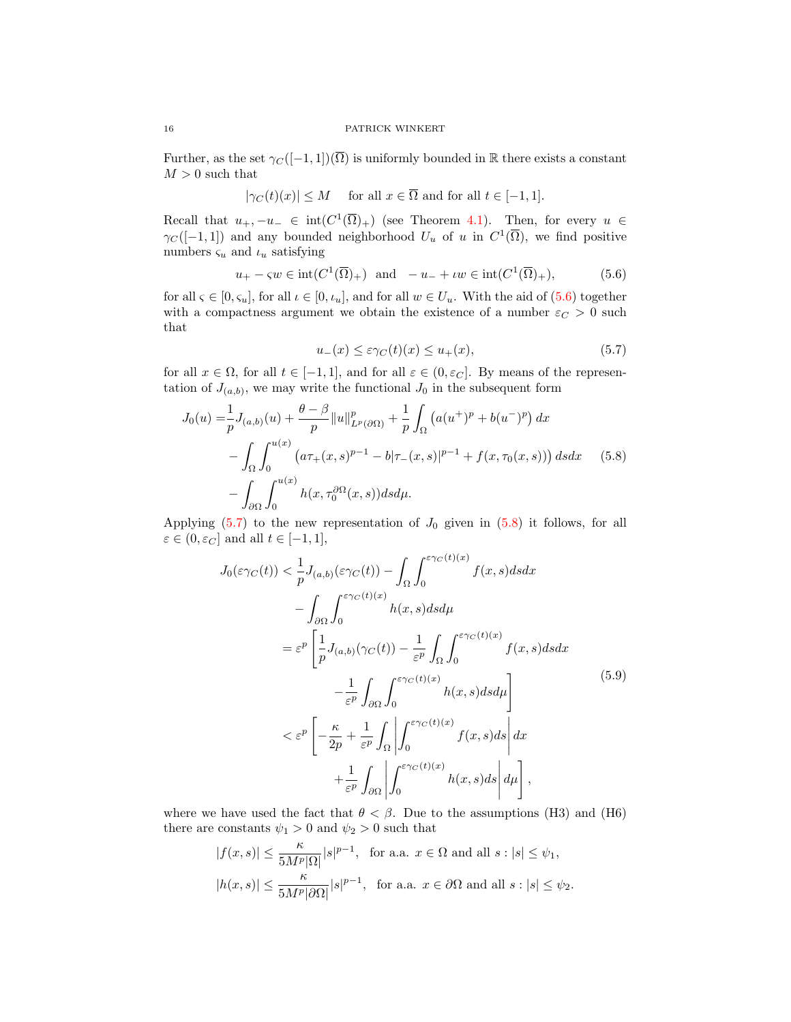Further, as the set  $\gamma_C([-1,1])(\overline{\Omega})$  is uniformly bounded in R there exists a constant  $M > 0$  such that

$$
|\gamma_C(t)(x)| \leq M
$$
 for all  $x \in \overline{\Omega}$  and for all  $t \in [-1, 1]$ .

Recall that  $u_+, -u_-\in \text{int}(C^1(\overline{\Omega})_+)$  (see Theorem [4.1\)](#page-8-1). Then, for every  $u \in$  $\gamma_C([-1,1])$  and any bounded neighborhood  $U_u$  of u in  $C^1(\overline{\Omega})$ , we find positive numbers  $\varsigma_u$  and  $\iota_u$  satisfying

$$
u_{+} - \varsigma w \in \operatorname{int}(C^{1}(\overline{\Omega})_{+}) \quad \text{and} \quad -u_{-} + \iota w \in \operatorname{int}(C^{1}(\overline{\Omega})_{+}), \tag{5.6}
$$

for all  $\varsigma \in [0, \varsigma_u]$ , for all  $\iota \in [0, \iota_u]$ , and for all  $w \in U_u$ . With the aid of  $(5.6)$  together with a compactness argument we obtain the existence of a number  $\varepsilon_{C} > 0$  such that

<span id="page-15-2"></span><span id="page-15-1"></span><span id="page-15-0"></span>
$$
u_{-}(x) \leq \varepsilon \gamma_{C}(t)(x) \leq u_{+}(x),\tag{5.7}
$$

for all  $x \in \Omega$ , for all  $t \in [-1, 1]$ , and for all  $\varepsilon \in (0, \varepsilon_C]$ . By means of the representation of  $J_{(a,b)}$ , we may write the functional  $J_0$  in the subsequent form

$$
J_0(u) = \frac{1}{p} J_{(a,b)}(u) + \frac{\theta - \beta}{p} ||u||_{L^p(\partial \Omega)}^p + \frac{1}{p} \int_{\Omega} (a(u^+)^p + b(u^-)^p) dx
$$
  

$$
- \int_{\Omega} \int_0^{u(x)} (a\tau_+(x,s)^{p-1} - b|\tau_-(x,s)|^{p-1} + f(x,\tau_0(x,s))) ds dx \qquad (5.8)
$$
  

$$
- \int_{\partial \Omega} \int_0^{u(x)} h(x,\tau_0^{\partial \Omega}(x,s)) ds d\mu.
$$

Applying  $(5.7)$  to the new representation of  $J_0$  given in  $(5.8)$  it follows, for all  $\varepsilon \in (0, \varepsilon_C]$  and all  $t \in [-1, 1],$ 

<span id="page-15-3"></span>
$$
J_0(\varepsilon \gamma_C(t)) < \frac{1}{p} J_{(a,b)}(\varepsilon \gamma_C(t)) - \int_{\Omega} \int_0^{\varepsilon \gamma_C(t)(x)} f(x, s) ds dx
$$
  

$$
- \int_{\partial \Omega} \int_0^{\varepsilon \gamma_C(t)(x)} h(x, s) ds d\mu
$$
  

$$
= \varepsilon^p \left[ \frac{1}{p} J_{(a,b)}(\gamma_C(t)) - \frac{1}{\varepsilon^p} \int_{\Omega} \int_0^{\varepsilon \gamma_C(t)(x)} f(x, s) ds dx - \frac{1}{\varepsilon^p} \int_{\partial \Omega} \int_0^{\varepsilon \gamma_C(t)(x)} h(x, s) ds d\mu \right]
$$
  

$$
< \varepsilon^p \left[ -\frac{\kappa}{2p} + \frac{1}{\varepsilon^p} \int_{\Omega} \left| \int_0^{\varepsilon \gamma_C(t)(x)} f(x, s) ds \right| dx + \frac{1}{\varepsilon^p} \int_{\partial \Omega} \left| \int_0^{\varepsilon \gamma_C(t)(x)} h(x, s) ds \right| d\mu \right],
$$
 (5.9)

where we have used the fact that  $\theta < \beta$ . Due to the assumptions (H3) and (H6) there are constants  $\psi_1 > 0$  and  $\psi_2 > 0$  such that

$$
|f(x,s)| \le \frac{\kappa}{5M^p |\Omega|} |s|^{p-1}, \text{ for a.a. } x \in \Omega \text{ and all } s : |s| \le \psi_1,
$$
  

$$
|h(x,s)| \le \frac{\kappa}{5M^p |\partial\Omega|} |s|^{p-1}, \text{ for a.a. } x \in \partial\Omega \text{ and all } s : |s| \le \psi_2.
$$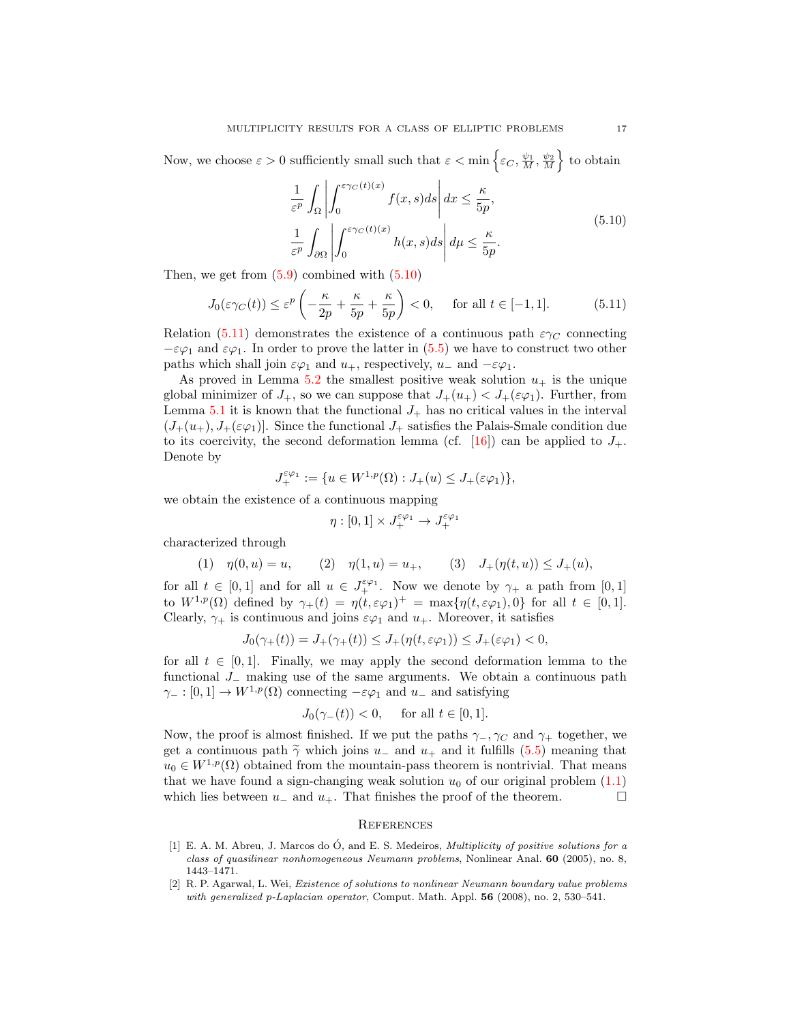Now, we choose  $\varepsilon > 0$  sufficiently small such that  $\varepsilon < \min \left\{ \varepsilon < \frac{\psi_1}{M}, \frac{\psi_2}{M} \right\}$  to obtain

<span id="page-16-3"></span><span id="page-16-2"></span>
$$
\frac{1}{\varepsilon^p} \int_{\Omega} \left| \int_0^{\varepsilon \gamma_C(t)(x)} f(x, s) ds \right| dx \le \frac{\kappa}{5p},
$$
\n
$$
\frac{1}{\varepsilon^p} \int_{\partial \Omega} \left| \int_0^{\varepsilon \gamma_C(t)(x)} h(x, s) ds \right| d\mu \le \frac{\kappa}{5p}.
$$
\n(5.10)

Then, we get from  $(5.9)$  combined with  $(5.10)$ 

$$
J_0(\varepsilon \gamma_C(t)) \le \varepsilon^p \left( -\frac{\kappa}{2p} + \frac{\kappa}{5p} + \frac{\kappa}{5p} \right) < 0, \quad \text{for all } t \in [-1, 1]. \tag{5.11}
$$

Relation [\(5.11\)](#page-16-3) demonstrates the existence of a continuous path  $\varepsilon \gamma_C$  connecting  $-\varepsilon\varphi_1$  and  $\varepsilon\varphi_1$ . In order to prove the latter in [\(5.5\)](#page-14-2) we have to construct two other paths which shall join  $\varepsilon\varphi_1$  and  $u_+$ , respectively,  $u_-$  and  $-\varepsilon\varphi_1$ .

As proved in Lemma [5.2](#page-12-2) the smallest positive weak solution  $u_+$  is the unique global minimizer of  $J_+$ , so we can suppose that  $J_+(u_+) < J_+(\varepsilon\varphi_1)$ . Further, from Lemma  $5.1$  it is known that the functional  $J_+$  has no critical values in the interval  $(J_+(u_+), J_+(\varepsilon\varphi_1))$ . Since the functional  $J_+$  satisfies the Palais-Smale condition due to its coercivity, the second deformation lemma (cf. [\[16\]](#page-17-26)) can be applied to  $J_+$ . Denote by

$$
J_+^{\varepsilon\varphi_1} := \{ u \in W^{1,p}(\Omega) : J_+(u) \le J_+(\varepsilon\varphi_1) \},
$$

we obtain the existence of a continuous mapping

$$
\eta:[0,1]\times J_+^{\varepsilon\varphi_1}\to J_+^{\varepsilon\varphi_1}
$$

characterized through

$$
(1) \quad \eta(0, u) = u, \qquad (2) \quad \eta(1, u) = u_+, \qquad (3) \quad J_+(\eta(t, u)) \le J_+(u),
$$

for all  $t \in [0,1]$  and for all  $u \in J_+^{\varepsilon\varphi_1}$ . Now we denote by  $\gamma_+$  a path from  $[0,1]$ to  $W^{1,p}(\Omega)$  defined by  $\gamma_+(t) = \eta(t, \varepsilon\varphi_1)^+ = \max{\{\eta(t, \varepsilon\varphi_1), 0\}}$  for all  $t \in [0,1]$ . Clearly,  $\gamma_+$  is continuous and joins  $\varepsilon\varphi_1$  and  $u_+$ . Moreover, it satisfies

$$
J_0(\gamma_+(t)) = J_+(\gamma_+(t)) \le J_+(\eta(t, \varepsilon \varphi_1)) \le J_+(\varepsilon \varphi_1) < 0,
$$

for all  $t \in [0, 1]$ . Finally, we may apply the second deformation lemma to the functional J<sup>−</sup> making use of the same arguments. We obtain a continuous path  $\gamma_-\colon [0,1]\to W^{1,p}(\Omega)$  connecting  $-\varepsilon\varphi_1$  and  $u_-\,$  and satisfying

$$
J_0(\gamma_-(t)) < 0, \quad \text{ for all } t \in [0,1].
$$

Now, the proof is almost finished. If we put the paths  $\gamma_-, \gamma_C$  and  $\gamma_+$  together, we get a continuous path  $\tilde{\gamma}$  which joins  $u_-\,$  and  $u_+\,$  and it fulfills [\(5.5\)](#page-14-2) meaning that  $u_0 \in W^{1,p}(\Omega)$  obtained from the mountain-pass theorem is nontrivial. That means that we have found a sign-changing weak solution  $u_0$  of our original problem  $(1.1)$ which lies between  $u_-\,$  and  $u_+\,$ . That finishes the proof of the theorem.

## **REFERENCES**

- <span id="page-16-0"></span>[1] E. A. M. Abreu, J. Marcos do  $\acute{O}$ , and E. S. Medeiros, *Multiplicity of positive solutions for a* class of quasilinear nonhomogeneous Neumann problems, Nonlinear Anal. 60 (2005), no. 8, 1443–1471.
- <span id="page-16-1"></span>[2] R. P. Agarwal, L. Wei, Existence of solutions to nonlinear Neumann boundary value problems with generalized p-Laplacian operator, Comput. Math. Appl. 56 (2008), no. 2, 530–541.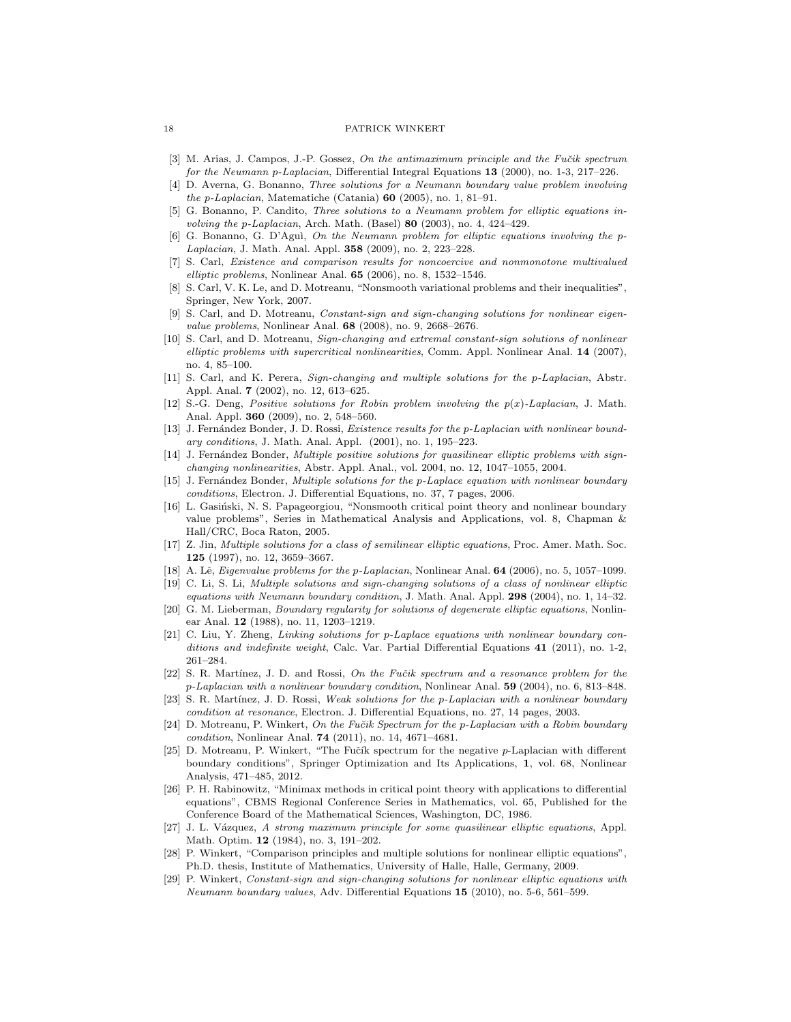- <span id="page-17-18"></span>[3] M. Arias, J. Campos, J.-P. Gossez, On the antimaximum principle and the Fučik spectrum for the Neumann p-Laplacian, Differential Integral Equations 13 (2000), no. 1-3, 217–226.
- <span id="page-17-10"></span>[4] D. Averna, G. Bonanno, Three solutions for a Neumann boundary value problem involving the p-Laplacian, Matematiche (Catania) 60 (2005), no. 1, 81–91.
- <span id="page-17-11"></span>[5] G. Bonanno, P. Candito, Three solutions to a Neumann problem for elliptic equations involving the p-Laplacian, Arch. Math. (Basel)  $80$  (2003), no. 4, 424-429.
- <span id="page-17-12"></span>[6] G. Bonanno, G. D'Aguì, On the Neumann problem for elliptic equations involving the p-Laplacian, J. Math. Anal. Appl. 358 (2009), no. 2, 223–228.
- <span id="page-17-17"></span>[7] S. Carl, Existence and comparison results for noncoercive and nonmonotone multivalued elliptic problems, Nonlinear Anal.  $65$  (2006), no. 8, 1532-1546.
- <span id="page-17-23"></span>[8] S. Carl, V. K. Le, and D. Motreanu, "Nonsmooth variational problems and their inequalities", Springer, New York, 2007.
- <span id="page-17-13"></span>[9] S. Carl, and D. Motreanu, Constant-sign and sign-changing solutions for nonlinear eigenvalue problems, Nonlinear Anal. 68 (2008), no. 9, 2668-2676.
- <span id="page-17-14"></span>[10] S. Carl, and D. Motreanu, Sign-changing and extremal constant-sign solutions of nonlinear elliptic problems with supercritical nonlinearities, Comm. Appl. Nonlinear Anal. 14 (2007), no. 4, 85–100.
- <span id="page-17-15"></span>[11] S. Carl, and K. Perera, Sign-changing and multiple solutions for the p-Laplacian, Abstr. Appl. Anal. 7 (2002), no. 12, 613–625.
- <span id="page-17-2"></span>[12] S.-G. Deng, Positive solutions for Robin problem involving the p(x)-Laplacian, J. Math. Anal. Appl. 360 (2009), no. 2, 548–560.
- <span id="page-17-3"></span>[13] J. Fernández Bonder, J. D. Rossi, Existence results for the p-Laplacian with nonlinear boundary conditions, J. Math. Anal. Appl. (2001), no. 1, 195–223.
- <span id="page-17-4"></span>[14] J. Fernández Bonder, Multiple positive solutions for quasilinear elliptic problems with signchanging nonlinearities, Abstr. Appl. Anal., vol. 2004, no. 12, 1047–1055, 2004.
- <span id="page-17-5"></span>[15] J. Fernández Bonder, Multiple solutions for the p-Laplace equation with nonlinear boundary conditions, Electron. J. Differential Equations, no. 37, 7 pages, 2006.
- <span id="page-17-26"></span>[16] L. Gasiński, N. S. Papageorgiou, "Nonsmooth critical point theory and nonlinear boundary value problems", Series in Mathematical Analysis and Applications, vol. 8, Chapman & Hall/CRC, Boca Raton, 2005.
- <span id="page-17-16"></span>[17] Z. Jin, Multiple solutions for a class of semilinear elliptic equations, Proc. Amer. Math. Soc. 125 (1997), no. 12, 3659–3667.
- <span id="page-17-19"></span>[18] A. Lê, *Eigenvalue problems for the p-Laplacian*, Nonlinear Anal. **64** (2006), no. 5, 1057–1099.
- <span id="page-17-6"></span>[19] C. Li, S. Li, Multiple solutions and sign-changing solutions of a class of nonlinear elliptic
- <span id="page-17-0"></span>equations with Neumann boundary condition, J. Math. Anal. Appl.  $298$  (2004), no. 1, 14–32. [20] G. M. Lieberman, Boundary regularity for solutions of degenerate elliptic equations, Nonlinear Anal. 12 (1988), no. 11, 1203–1219.
- <span id="page-17-7"></span>[21] C. Liu, Y. Zheng, Linking solutions for p-Laplace equations with nonlinear boundary conditions and indefinite weight, Calc. Var. Partial Differential Equations 41 (2011), no. 1-2, 261–284.
- <span id="page-17-1"></span>[22] S. R. Martínez, J. D. and Rossi, On the Fučik spectrum and a resonance problem for the p-Laplacian with a nonlinear boundary condition, Nonlinear Anal. 59 (2004), no. 6, 813–848.
- <span id="page-17-8"></span>[23] S. R. Martínez, J. D. Rossi, Weak solutions for the p-Laplacian with a nonlinear boundary condition at resonance, Electron. J. Differential Equations, no. 27, 14 pages, 2003.
- <span id="page-17-20"></span>[24] D. Motreanu, P. Winkert, On the Fučik Spectrum for the p-Laplacian with a Robin boundary condition, Nonlinear Anal. 74 (2011), no. 14, 4671–4681.
- <span id="page-17-21"></span>[25] D. Motreanu, P. Winkert, "The Fučík spectrum for the negative  $p$ -Laplacian with different boundary conditions", Springer Optimization and Its Applications, 1, vol. 68, Nonlinear Analysis, 471–485, 2012.
- <span id="page-17-24"></span>[26] P. H. Rabinowitz, "Minimax methods in critical point theory with applications to differential equations", CBMS Regional Conference Series in Mathematics, vol. 65, Published for the Conference Board of the Mathematical Sciences, Washington, DC, 1986.
- <span id="page-17-22"></span>[27] J. L. Vázquez, A strong maximum principle for some quasilinear elliptic equations, Appl. Math. Optim. 12 (1984), no. 3, 191–202.
- <span id="page-17-25"></span>[28] P. Winkert, "Comparison principles and multiple solutions for nonlinear elliptic equations", Ph.D. thesis, Institute of Mathematics, University of Halle, Halle, Germany, 2009.
- <span id="page-17-9"></span>[29] P. Winkert, Constant-sign and sign-changing solutions for nonlinear elliptic equations with Neumann boundary values, Adv. Differential Equations 15 (2010), no. 5-6, 561–599.